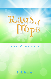# Lays of

A book of encouragement.

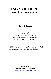# **RAYS OF HOPE: A Book of Encouragement.**

**By D. O. Teasley** 

*Author of "The Holy Spirit and Other Spirits", "Private Lectures to Mothers and Daughters", "Private Lectures to Men and Boys", etc.* 

*"Wait on the Lord: be of good courage, and he shall strengthen thine heart: wait, I say, on the Lord."* 

> *Digitally Published by*  **GOSPEL TRUTH PUBLISHING <www.churchofgodeveninglight.com>**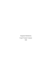Originally Published by Gospel Trumpet Company 1909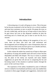# **Introduction**

A drowning man, it is said, will grasp at a straw. This is because he has become awakened to the fact that he is in a critical condition and must have assistance at once or perish. He grasps the straw as his only visible help, and the last ray of hope seems to have fled as he goes down; but even in this desperate condition he feels the encircling arm of a friend and, just in time to save his life, he is rescued.

There are people today sinking in the quagmires of sin, as it were; there are those who have met with misfortune and discouragement and are drifting into a state of desperation; there are some who have been saved, but have given way to doubts and fears, and thus losing hope, are sinking into despair.

In this volume the author has caused rays of hope to shine upon the pathway of erring and unstable souls and such as have become despondent and filled with despair. The way to victory is pointed out, the plans of the enemy are exposed, and many helpful suggestions are given that will aid one in conquering the foe and becoming master of the situation in spiritual matters through the power of the Lord Jesus Christ.

The experience of the author, broadened by years of effectual service in behalf of sin-burdened and thirsty souls, has enabled him to present in these pages thoughts and suggestions, instruction and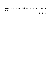advice, that tend to make the book, "Rays of Hope", worthy its name.

—E. E. Byrum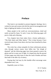# **Preface**

This book is not intended to present dogmatic theology, but is written for men and women who feel the need of encouragement and help in fighting the battles of every-day life.

Many people in the world are overconscientious, timid and easily accused by Satan. To such, I trust, the following pages will prove a help and a blessing.

Two chapters have been taken from a former publication— "The Holy Spirit and Other Spirits." This is done because I have received many letters from those who have been benefited by these chapters.

The writer has a deep sympathy for those unfortunate persons who, through various causes, have fallen into "the slough of despond" and the following pages have been penned to pierce the gloom and let in some rays of light. It is hoped also that the perusal of these pages may help some to shun the road of doubts and fears that leads to the dark city of misery.

Praying that God may by this humble effort encourage some despondent soul, I am,

Hopefully yours in Christ,

D. O. Teasley New York, N. Y.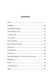# **Contents**

| Spiritual Prosperity: or, How to Grow in Grace 70 |  |
|---------------------------------------------------|--|
|                                                   |  |
|                                                   |  |
|                                                   |  |
|                                                   |  |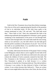# **Faith**

<span id="page-10-0"></span>Faith in the New Testament, has at least three distinct meanings. First, the act of the soul in appropriating the benefits of the promises of God to its individual needs. Of this faith Jesus spoke to the woman mentioned in Luke 7:50, and said, "Thy faith hath saved thee." "Have faith in God." Peter also mentioned this faith to the unbelieving multitude that had gathered in Solomon's porch, greatly wondering at the manifestation of the power of God through faith. "And his name through faith in his name hath made this man strong, whom ye see and know: yea, the faith which is by him hath given him this perfect soundness in the presence of you all." Acts 3:16. By this faith we are justified (Rom. 5:1), sanctified (Acts 26:18), kept (1 Pet. 1:5), and healed. Jas. 5:14, 15.

Secondly, faith means the doctrine of the gospel. Paul in writing to the Philippians exhorts them to strive together for the faith of the gospel. Jude also speaks of the faith once delivered to the saints and exhorts the children of God to earnestly contend for that faith. The New Testament is the Christian's creed and articles of faith. The New Testament is spoken of as faith because it is a written expression of what the first Christians believed. They did not believe it because it was written, for they believed it before it had been written. It was written because they believed it. 'These are written that we in turn might believe that Jesus is the Christ, the Son of God,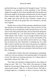and that believing, we might have life through his name.' The New Testament is an expression of those principles of the Christian religion first taught by Jesus Christ and believed by his disciples and afterwards taught by the disciples and believed by all who accepted Christ, therefore called "the faith once delivered to the saints." For this simple faith alone did the early Christians contend and in striving for the faith of the gospel they were exhorted to, and did, strive together.

Thirdly, there is a kind of faith sometimes called historical faith. This kind have all who believe that Jesus Christ is the Son of God, whether they have accepted him as their personal Savior or not. The vilest of men often possess this faith, and even the devils themselves believe and tremble. Jas. 2:19. This kind of faith is a dead faith, for "faith without works is dead." It is not enough to believe that Jesus tasted death for every man. In order to receive the benefits of his glorious atonement, you must believe that he died for you. Things that are dead do not move themselves or anything else. So a dead faith is inactive and does not move those who possess it to righteous acts, but living faith inspires and animates those who possess it to live in strict harmony with every principle of faith laid down in the New Testament.

As dead faith is of little value and is uninspiring to contemplate, I shall now call your attention to the inspiring subject of living faith in God. This faith every Christian must have, for "without faith it is impossible to please God." Heb. 11:6.

"Now faith is the substance of things hoped for, the evidence of things not seen." Heb. 11:1. "Now faith is the assurance of things hoped for, the proving of things not seen. For therein the elders had witness borne to them." Heb. 11:1, 2. *Revised Version*. "But faith is, of things hoped for, a confidence, of facts a conviction, when they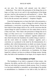are not seen. For thereby well attested were the elders." —*Rotherham.* "Now faith is the persuasion of the things that are in hope, as if they were in act; and it is the manifestness of the things not seen. And for it the ancients are well testified of."—*Syriac*. "But faith is a basis of things hoped for, a conviction of things unseen. For by this the ancients were attested."—*Emphatic Diaglott.*

From the foregoing texts we learn that faith is the persuasion, a confidence, the assurance, a basis, of things for which we hope; the manifestness, a conviction, or proving, of things unseen. We do not have faith for those things which we see, yet the conviction that the unseen things for which we believe are ours makes them as real as if they were seen. "Now faith is the persuasion of things that are in hope, as if they were in act." A commentator on this subject says: "The word which we translate 'substance' signifies subsistence that which becomes the foundation for another thing to stand on and the word which we translate 'evidence' signifies such a conviction as is produced in the mind by the demonstration of a problem; after which demonstration no doubt can remain, because we see from it that the thing is; that it cannot but be; and that it cannot be otherwise than it is and is proved to be." Without faith we have no ground-work, no substructure, no foundation, for things hoped for; without it we have no evidence of things unseen. Seeing, then, that faith is the foundation of our hopes, let us inquire what is:

### **The Foundation of Faith**

The foundation of our faith is composed of three stones—the character, the ability, and the will, of the one in whom we believe. There are only three just reasons to doubt anyone. First, if a person is or has been unfaithful or untruthful, our knowledge of his perfidy or untruthfulness is a hindrance to our faith in him, for faith is a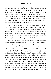dependence on the veracity of another, and one is said to keep his promise inviolate when he performs the promise upon which another relied. Secondly, if a person is unable to perform what he promises, we cannot depend upon him for the things we need. Thirdly though a man has always been faithful and is able to perform his every promise still we cannot believe that he will favor us unless we have his promise—the expression of his will—for a man's power is exercised only in accordance with his will.

Now, first of all, let us ask who should be the object of our faith. "And Jesus answering saith unto them, Have faith in God." Mark 11:22. Next let us ask ourselves three questions: First, is God's character such that we can rely upon it? Second, is his ability such that we have no reason to doubt it? Third, has he promised to supply all our needs? If we can answer these three questions in the affirmative, then no man has any reasons to doubt God.

First, let us examine his character. "God is faithful, by whom ye were called to the fellowship of his Son Jesus Christ our Lord." 1 Cor. 1:9. God made a promise to Judah that the scepter should not depart from his tribe nor a law-giver from between his feet until Shiloh should come. (Gen. 49:10). In exact fulfillment of this promise Shiloh, the Rest-giver, Jesus of Nazareth, came just about the time when the scepter departed from Judah and the first foreign prince—Herod the Great—ruled over Judea. God promised Abraham that in his seed all nations of the earth should be blessed. In the fulness of the times God sent forth his Son to bless every one of us in turning us away from our sins, and in him—the seed of Abraham—all nations are blessed. God promised Noah that the world should no more be destroyed by floods and as a token of his promise placed his bow in the clouds. Ages have passed, men have been unfaithful, and many times the wickedness of men has come

4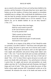up as a stench in the nostrils of God, yet God has been faithful to his promise, and the fountains of the great deep have never again been broken up nor the windows of heaven been opened to overwhelm unfaithful man in a deluge. Who could doubt the faithfulness of one who has kept his promise inviolate from generation to generation and has proved himself faithful even to all his enemies? "If we believe not, yet he abideth faithful: he can not deny himself." 2 Tim. 2:13.

> "Since the morn when time began, Hath his word ceased to prevail? Is the God of heaven weak as man, Or can his promise fail? "Hath a mortal yet been found Who hath trusted him in vain? Search the whole broad space of earth around, And search it once again."

Secondly, let us inquire of the ability of God. Should he make us a promise, is he able to fulfil it? "And Jesus came and spake unto them, saying, All power is given unto me in heaven and in earth." Matt. 28:18. "Who is gone into heaven, and is on the right hand of God; angels and authorities and powers being made subject unto him." 1 Pet. 3:22. "I am he that liveth and was dead; and behold, I am alive for evermore, Amen; and have the keys of hell and of death." Rev. 1:18. To Jesus Christ is given all power on earth, and power over death, hell, and the grave. Yea, and all power in heaven is given him, for angels and powers and principalities are made subject unto him. He "is the blessed and only Potentate, the King of kings and Lord of lords." Who, then can doubt the power of Him before whom angels prostrate fall? Unnumbered worlds are at his command. He measures the ocean in his hands and meets out the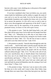heavens with a span. Look, doubting one, to the power of his might! Look and live and doubt no more.

If you have considered what I have set before you, you surely cannot doubt his faithfulness and his ability to supply the needs of your soul or to care for your body. So to lay the last stone of this imperishable foundation and complete the triune rock of our faith, let us answer the question. Is it his will to save us and to raise us above every discouragement and oppression of the devil? A man's will is known only by the expression of his promise; so if God promised victory, we know it is his will to give victory.

1. His promise to save. "And she shall bring forth a son, and thou shalt call his name Jesus: for he shall save his people from their sins." Matt. 1:21. "Wherefore he is able also to save them to the uttermost that come unto God by him, seeing he ever liveth to make intercession for them." Heb. 7:25. "For the Son of man is come to seek and to save that which was lost." Luke 19:10.

2. His promise to sanctify. "Sanctify them through thy truth: thy word is truth. . . . And for their sakes I sanctify myself, that they also might be sanctified through the truth." John 17:17, 19. "Wherefore Jesus also, that he might sanctify the people with his own blood, suffered without the gate." Heb. 13:12. "For this is the will of God, even your sanctification, that ye should abstain from fornication: that every one of you should know how to possess his vessel in sanctification and honor." 1 Thess. 4:3, 4. "And the very God of peace sanctify you wholly; and I pray God your whole spirit and soul and body be preserved blameless unto the coming of our Lord Jesus Christ." 2 Thess. 5:23.

3. His promise to keep. "And now I am no more in the world, but these are in the world, and I come to thee, Holy Father, keep through thine own name those whom thou hast given me, that they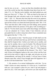may be one, as we are . . . I pray not that thou shouldest take them out of the world, but that thou shouldest keep them from the evil." John 17:11, 15. "But the Lord is faithful, who shall stablish you, and keep you from evil." 2 Thess. 3:3. "Who are kept by the power of God through faith unto salvation ready to be revealed in the last time." 1 Pet. 1:5. "Because thou hast kept the word of my patience, I also will keep thee from the hour of temptation, which shall come upon all the world, to try them that dwell upon the earth." Rev. 3:10. "Now unto him that is able to keep you from falling, and to present you faultless before the presence of his glory with exceeding joy." Jude 24. "For the which cause I also suffer these things: nevertheless I am not ashamed; for I know whom I have believed, and am persuaded that he is able to keep that which I have committed unto him against that day." 2 Tim. 1:12.

4. His promise to heal. "And the prayer of faith shall save the sick, and the Lord shall raise him up; and if he have committed sins, they shall be forgiven him. Confess your faults one to another, and pray one for another, that ye may be healed. The effectual fervent prayer of a righteous man availeth much." Jas. 1:15, 16. "And Jesus saith unto him, I will come and heal him." Matt. 8:7. "Who forgiveth all thine iniquities; who healeth all thy diseases." Psa. 103:3. "And said, If thou wilt diligently harken to the voice of the Lord thy God, and wilt do that which is right in his sight, and wilt give ear to his commandments, and keep all his statutes, I will put none of these diseases upon thee, which I have brought upon the Egyptians: for I am the Lord that healeth thee." Exod. 15:26.

5. His promise of an eternal abiding-place with him. "In my Father's house are many mansions: if it were not so, I would have told you. I go to prepare a place for you. And if I go and prepare a place for you, I will come again, and receive you unto myself; that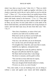where I am, there ye may be also." John 14:2, 3. "Then we which are alive and remain shall be caught up together with them in the clouds, to meet the Lord in the air: and so shall we ever be with the Lord." 1 Thess. 4:17. "For we know that if our earthly house of this tabernacle were dissolved, we have a building of God, an house not made with hands, eternal in the heavens." 2 Cor. 5:1 "They shall hunger no more, neither thirst any more; neither shall the sun light on them, nor any heat. For the Lamb which is in the midst of the throne shall feed them, and shall lead them unto living fountains of waters: and God shall wipe away all tears from their eyes." Rev. 7:16, 17.

> "How firm a foundation, ye saints of the Lord, Is laid for your faith in his excellent word! What more can he say than to you he hath said, Ye who unto Jesus for refuge have fled?

"Fear not, I am with thee; oh, be not dismayed; For I am thy God, and will still give thee aid: I'll strengthen thee, help thee, and cause thee to stand, Upheld by my righteous, omnipotent hand.

"When through fiery trials thy pathway shall lie, My grace all-sufficient shall be thy supply; The flame shall not harm thee; I only design Thy dross to consume, and thy gold to refine.

"The soul that on Jesus doth lean for repose, I will not, I will not, desert to his foes; That soul, though all hell should endeavor to shake, I'll never, no, never, no, never forsake."

Now, dear reader, if you are doubting God, you are doing so without a cause and against your reason and better judgment.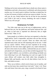Nothing can be more unreasonable than to doubt one whose name is faithfulness and truth, whose power is unlimited, and whose promise reaches you. It is much easier to believe God than to doubt him, for we have all reasons to believe and not one reason to doubt. Can you, will you, do you, firmly believe him for all that he has promised you? Faith is the road to victory; doubting, the road to despair. Which way will you go?

### **Hindrances To Faith**

"For John came unto you in the way of righteousness, and ye believed him not: but the publicans and harlots believed him: and ye, when ye had seen it, repented not afterward, that ye might believe him." Matt. 21:32.

Some people try to believe who have not repented, so that they might believe. Such is impossible, and those who are thus striving to believe God can never succeed. There are others who have repented many times and are still repenting and yet do not—I shall not say cannot—believe. When you have repented of all wrong, forgiven all who have done aught against you, made restitution to all men to the extent of your ability, confessed that you are a sinner, and asked God's forgiveness, you are then on believing ground. You have a right to believe, you can believe, and nothing can hinder you from believing if you will. Repenting over and over again for the same offense will weaken your faith rather than strengthen it. Repent fully and heartily, once for all; then believe God, live for him, and doubt no more.

"How can ye believe, which receive honor one of another, and seek not the honor that cometh from God only?" John 5: 44. Those who seek honor from men, pray, sing, or preach to be heard of men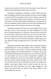cannot exercise faith in God; for God is the object of our faith, and faith seeks only that honor which comes from him.

The habit of doubting is a hindrance to faith. Those who have been in bondage to doubts and accusations often have a hard struggle to exercise faith for permanent victory; but by taking a stand on the word of God against doubts and accusations such persons may be overcomers. Even the mental habit of doubting can, through faith in God, be completely erased, and the soul once weak and faltering can be made strong in the Lord and in the power of his might.

Trusting in emotions will cause one to lose sight of God's word and fail to trust in God's promise, the only foundation for living faith. The glad emotions of a Christian's heart are truly sweet; but in order of time, faith comes before joy, for the joy of the Lord is the joy of faith and God gives us joy and peace in believing. "Now the God of hope fill you with all joy and peace in believing, that ye may abound in hope, through the power of the Holy Ghost." Rom.  $15:13.$ 

Right belief produces right feeling, and wrong belief produces wrong feeling; for we feel according to what we believe, whether what we believe is true or false. A man who believes that he is right has good feelings even though his belief is a deception. This point is beautifully illustrated by an incident that I once read. The only son of a sick mother was lost in a forest. Sympathetic neighbors and friends volunteered to search for the lost child. The night was chilly and cold, and the mother thought only of the welfare of her child. As time after time the news came that the search was fruitless, the mother's pulse grew fainter and all could see that her end was drawing near. Hour after hour the weary night dragged by, and shorter and shorter grew the breath of the dying mother as she worried about her lost son.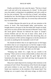Finally, just before her end, came the report, "The boy is found and is safe and well in the strong arms of a friend." At this joyful news the mother's aching heart was gladdened, and with a smile on her face she exclaimed, "My own dear boy is found," and smiling, breathed her last. She died happy in the belief that her boy had been found; but the report was a false one, for several days afterward the boy was found dead.

To further illustrate this point let me call your attention to the sorrow of Jacob. This hoary-headed father, grief-stricken, was brought almost to the grave in the firm belief that Joseph was dead, and yet he was alive and the chief steward of Pharaoh's house. Why did Jacob grieve? Because he believed the report of Joseph's envious brethren and saw the coat of many colors, dyed, as he believed, with the lifeblood of his child. How deceiving, then, are the circumstances of life! and how dangerous to risk the salvation of our souls on anything but the immutable word of God!

We should not believe that we are right because we feel happy nor believe that we are wrong because we feel the weight of trials. Feeling right will make nobody right; but getting right, staying right, and believing that you are right, will make you feel right.

"Weeping may endure for a night, but joy cometh in the morning." There can be no victory without battle, so those who wish to have spiritual victory must fight the good fight of faith. Sometimes the siege may seem hard and long, but the greater the battle, the greater the victory.

Many have made shipwreck by trusting in their emotions to the exclusion of God's Word. The testimony of his Word is the strongest and surest evidence to your soul. Why, then, should you seek to found your experience on the emotions of the human heart? Our feelings are, so to speak a harp with many strings, on which every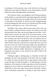circumstance of life may play a tune. Like the tide ever rising and falling, they rise under the influence of joy and prosperity, and fall before the winds of disappointment and adversity.

The Christian's heart is not altogether void of human emotions, yet his sadness is sweetened and his rejoicing tempered by the balm of faith. Your emotions may run as high as they will, only be careful to keep them in the bounds of reason; but when disappointments come and feelings fall, take care lest you fall below the line of faith, for faith it is that helps us to say, "Thy will be done."

The Bible is like a great cable let down from God to man, one end of which is welded to heaven's throne. If by faith you lay hold and keep hold of the cable, one of three things must be done—God's throne must be moved, the cable of his word must break, or your soul must receive the good that it seeks. If you have not yet learned how to anchor your soul to the Word of God, you should at once tie your spiritual bark to the imperishable rock of truth by the eternal cable of faith. Then, like a ship tied to an immovable rock, your soul may rise on the wave-crests of emotions, high in the atmosphere of ecstatic joy, or sink to the deepest depths of human despair, where angry billows threaten sudden destruction or lingering woe; yet through all your anchor is sure, bound by the cable of faith to the solid rock of truth.

Walking by sight, or seeking signs, is a hindrance to faith and endangers the soul to the deceptions of the devil. The Jews sought for a sign, but Jesus told them that no sign should be given them except the sign of Jonah the prophet. It is dishonoring to God and slanderous to his character to seek a sign when we have his promise. Suppose you were to give me a promise and I were to say to you, "I should like to have some sign, some miracle performed, a dream, some extraordinary impression or feeling of some kind, before I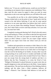believe you." If you are a truthful person, would you not feel that I was doing you an injustice thus to question your truthfulness? How, then, must He who cannot lie regard it when you seek for some impression or ask to see some sign before you will believe His word.

You possibly do not like to be called doubting Thomas, yet Thomas wished only to see the prints in Jesus' hands and to feel the wound in his side before believing. If you ask for some special emotion or to see some sign before you believe that God's word is true, are you any better than doubting Thomas? Salvation has its joys, but it takes faith to receive and keep salvation. So if you wish joy, you must have faith.

Completely trusting and obeying God's Word is the only source of true and lasting joy. If then, you refuse to take the first step toward the Christian's joy, how can you expect to reach the goal? Do you expect an effect without a cause? Do you expect wages without labor? Do you expect favor from one whose word you will not credit?

Tradition and superstition are enemies to faith. Many of us who have been taught all our lives to trust in doctors and medicine find such teaching a stubborn barrier to our faith when we first begin to trust the Lord for the healing of our bodies. In many other ways the wrong teaching of our youth serves to weaken and hinder our faith unless we take a firm stand on the revealed Word of God. There is just one escape from the strong hand of tradition and that is to believe that the New Testament is in verity the Word of God. "Religion [Christianity] is placed between two great rocks that are equally dangerous to man and injurious to the Deity. I mean impiety and superstition. The one from an affection of free thinking, believes nothing; and the other, from a blind weakness, believes all things."—*Plutarch*. True Christian faith believes in God and his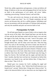Word; but, unlike superstition and ignorance, it does not believe all things. It believes in the true and unchanging Word of God, but has no faith in the performance of evil spirits, old wives' fables, conjuring, powwawing, Christian Science, and such like.

"Ye ask, and receive not, because ye ask amiss, that ye may consume it upon your lusts." Jas. 4:3. People sometimes ask and receive not because they ask for a selfish purpose. Selfishness and lust are inconsistent with the principles of Christian faith and piety, and only the unselfish and pure can exercise faith in God.

### **Prerequisites To Faith**

We all look upon Daniel as a man of faith, so let us inquire what was the secret of his faith. After Daniel had been cast into the den of lions and the den had been sealed with the king's own seal and the signet of his lords, the king, we read, "went to his palace, and passed the night in fasting: neither were instruments of music brought before him: and his sleep went from him. Then the king arose very early in the morning, and went in haste unto the den of lions. And when he came to the den, he cried with a lamentable voice unto Daniel: and the king spake and said to Daniel, O Daniel, servant of the living God, is thy God, whom thou servest continually, able to deliver thee from the lions? Then said Daniel unto the king, O king, live forever. My God hath sent his angel, and hath shut the lions' mouths, that they have not hurt me: forasmuch as before him innocency was found in me; and also before thee, O king, have I done no hurt." Dan. 6:19, 22.

Daniel gave two reasons for God's sending his angel and shutting the lions' mouths—first, "before him [God] innocency was found in me"; second, "before thee, O king, have I done no hurt." In order to be innocent before God we must have our sins forgiven and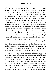be living a holy life. We must be where we know that we are saved and can "assure our hearts before him." "For if our heart condemn us, God is greater than our heart, and knoweth all things. Beloved, if our heart condemn us not, then have we confidence toward God. And whatsoever we ask, we receive of him, because we keep his commandments, and do those things that are pleasing in his sight." 1 John 3:20-22. In the second place, we must be living at peace, so far as it lies in us, with all mankind. Then, and not until then, can we exercise perfect faith in God. It is rather unpleasant and detrimental to faith, when we are praying for some favor from God, to have some neglected duty or committed wrong stand between us and God like a dark cloud, shutting out the sunlight of his presence. Just here, however, the weak and doubting need to be careful in discriminating between sin and the accusations of Satan; for an accusation, if heeded, will stand as much in our way as a real neglect of duty.

The three Hebrew children, Shadrach, Meshach, and Abednego, are also good examples of faith, and in their conversation with the king of Babylon before being cast into the fiery furnace is portrayed another prerequisite to faith. Hear, in the following scripture, the awful threats of a frowning monarch, and see the undaunted boldness and decision of three humble sons of the Highest:

"Now if ye be ready that at what time ye hear the sound of the cornet, flute, harp, sackbut, psaltery, and dulcimer, and all kinds of music, ye fall down and worship the image which I have made; well: but if ye worship not, ye shall be cast the same hour into the midst of a burning fiery furnace; and who is that God that shall deliver you out of my hands? Shadrach, Meshach, and Abednego answered and said to the king, O Nebuchadnezzar we are not careful to answer thee in this matter. If it be so, our God whom we serve is able to deliver us from the burning fiery furnace, and he will deliver us out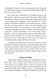of thine hand, O king. But if not, be it known unto thee, O king, that we will not serve thy gods, nor worship the golden image which thou hast set up." Dan. 3:15-18.

Not even the stern countenance of an enraged king nor yet the fiery furnace heated seven times hotter than usual could weaken their decision or dim their faith. In these bold witnesses for the Lord we see portrayed the foundation of faith mentioned in a former chapter. First, they had confidence in the God they served—so much that they were not careful to answer the king. Secondly, they believed in his ability. "Our God whom we serve is able to deliver us from the burning fiery furnace." Thirdly, they believed that he would do it. "And he will deliver us out of thy hand, O king." Fourthly, we note the leading characteristics of these three men decision. "But if not [that, is if it is not his will to deliver us], be it known unto thee, O king, that we will not serve thy gods, nor worship the golden image which thou hast set up."

If you would go through every fiery trial and come out without the smell of fire upon your garments, make the decision that God is true to his word, that he is able to deliver you, and that he will do it. Lastly, decide, firmly decide, that if it is God's will for you to die, you will serve no other god nor worship the golden image set up by men and Satan.

### **Source of Faith**

"So then faith cometh by hearing, and hearing by the word of God." Rom. 10:17. In order to have faith we must have a promise. How, then, shall we believe unless we hear? In the days of the apostles there was but little chance to hear the promises of God except from the lips of the ministry, but now, in Christian lands, we have the blessed privilege of reading and studying the written Word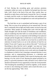of God. Having the exceeding great and precious promises constantly within our reach, we should of all people have the most faith. God's Word is the food of the soul. How careful, then, we should be to daily feast on the bread of eternal life. Nor is it enough to simply read the words; we should read them and meditate upon them until their virtue has strengthened our souls and quickened our faith.

The food that we eat is assimilated and becomes a part of our being. This is as true of our spiritual as of our natural food. The soul that is continually fed on light and chaffy matter can but be lean and powerless. Many people are feeding their souls with the light and chaffy thoughts and with the husks of foolishness and worldliness, and yet wondering why their faith is so weak and their souls so lean. If the food that we eat is so important in the building of our physical strength and the thoughts that we think have so much influence over the condition of our souls, should we not at least be as careful in the selection of mental food as we are in the selection of food for our bodies? If you wish "to grow up as calves of the stall," "to be fat and flourishing to show that the Lord is upright," you must eat "clean provender which hath been winnowed with a shovel and with a fan." You should reject every doctrine, every word, and every thought that is a hindrance to faith in God. Listening to unsound doctrine, to sect preachers, and to compromising discourses, is a detriment and should be avoided by the faithful. Faith comes by hearing only when hearing is by the word of God. Hearing the gospel preached in its purity is a powerful stimulant to faith, and hence every child of God should avail himself of every opportunity to hear the word preached. "Not forsaking the assembling of ourselves together, as the manner of some is; but exhorting one another: and so much the more, as ye see the day approaching." Heb. 10:25.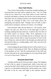### **How Faith Works**

"For in Jesus Christ neither circumcision availeth anything, nor uncircumcision; but faith which worketh by love." Gal. 5:6. Faith works by love. When love is out, Faith refuses to work. Faith will not dwell with Malice or Hatred. He will not work in their presence. Only those who are willing to dismiss every element foreign to love can enjoy the workings of faith. Love is the motor power, the mainspring, that operates faith. "Though I have all faith, so that I could remove mountains, and have not charity, I am nothing."

Unity promotes faith; discord destroys it. The promise reads, "Again I say unto you, That if two of you shall agree on earth as touching anything that they shall ask, it shall be done for them of my Father which is in heaven." Matt. 18:19. Agreement is not discord, and those who are divided and out of harmony with one another cannot exercise faith or claim the promises of God. On the day of Pentecost, when the faith of the disciples prevailed and God sent the Holy Spirit as a rushing mighty wind, "they were all of one accord in one place."

Acknowledging the good things that the Lord has done for us is also a means of increasing our faith. Then, be diligent in testifying to the goodness of God. "that the communication of thy faith may become effectual by the acknowledging of every good thing which is in you in Christ Jesus." Philem. 6.

### **Mustard-Seed Faith**

"Another parable put he forth unto them, saying, The kingdom of God is like to a grain of mustard-seed, which a man took, and sowed in his field: which indeed is the least of all seeds: but when it is grown, it is the greatest among herbs, and becometh a tree, so that the birds of the air come and lodge in the branches thereof."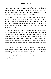Matt. 13:31, 32. Mustard has two notable features—first, the great size of the plant in comparison with the seed; second, it will not, it is said, mingle or cross with any other plant. Mustard-seed is the smallest of all seeds producing a wood-like plant.

Referring to the size of the mustard-plant, we should not confine it to the mustard of North America for in a warm climate and rich soil it is said to grow to an almost incredible size. This beautifully illustrates the accomplishments of faith, for nothing that we possess will accomplish so much in comparison with its beginning as faith.

The fact that mustard will not cross with any other plant teaches us that faith will not mix with the things of this world. As the mustard-plant, though surrounded by weeds and plants of various kinds, will partake of the nature of none of them; so faith, though beset on every side by the weeds of worldliness, doubts, and sin, will not mingle nor cross with any of them, but remains separate and distinct. Those who attempt to mingle faith and worldliness in the same heart make a sad failure. The two will not mix.

"If ye have faith as a grain of mustard-seed, ye shall say unto this mountain, Remove hence to yonder place; and it shall remove; and nothing shall be impossible unto you." Matt. 17:20. Pure and undefiled faith as a grain of mustard-seed will remove a mountain; but a lifeless, inactive faith as large as a mountain cannot remove a mustard-seed.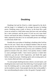## **Doubting**

<span id="page-29-0"></span>Doubting God and his Word is a habit imposed by the devil, and the longer it is indulged in, the stronger becomes its binding power. Doubting causes a path, or furrow, on the brain like a path across an orchard or a field where many feet have trod; and nothing but a stern resistance and the power of God can ever erase these furrows and break the habit of doubting. I repeat that doubting is a habit, imposed by the devil, for no reasonable person can willingly or maliciously doubt God.

Possibly the worst phase of doubting is doubting what God has done for the soul. Those who are habitual doubters often do much praying, but do very little believing. If Satan can succeed in getting you to doubt your experience and cast away your confidence, he has gained an inroad to the soul, which, if not quickly closed, is liable to cause prolonged trouble. I have known persons to doubt their experience, go and ask God's forgiveness, and doubt him again before rising from prayer. Doubting spirits and accusing spirits are very closely allied and often work together.

To some people doubting becomes almost a second nature, and doubting becomes much easier than believing. If such people would treat the doubting spirit as some people treat peddlers they would not be troubled so much. Some people shut the door in the peddler's face notwithstanding his pleas to show his goods. If people would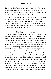always shut their hearts' doors to all doubts regardless of their earnest pleas for entrance they would soon cease to come so often. Doubts, like some book-agents, almost force an entrance, and the only way to get rid of them is to tell them to go.

Doubts are like visitors—if they are entertained, they will stay; but if no attention is paid to them and instead of entertainment they receive a rebuke, they will not stay long and will not return so often. The unrest and the tortures of the habit of doubting are too well known to the doubter to need comment. What is most interesting to the weakened and discouraged doubter is

### **The Way of Deliverance**

There is deliverance for every soul that will accept God's way, even from the severest case of doubts and fears. If you are a doubter, settle it that God is true and that he loves you with an everlasting love. Though you may have failed a thousand times, God loves you still. And though you have been unfaithful many times, yet he abideth true; "he can not deny himself"; and "his mercy endureth forever." Your doubting, unbelief, and failures will not make God unfaithful, or untrue to his word. God is just as true to you as if you had never doubted. Peter once said to the Lord "How oft shall my brother sin against me, and I forgive him? till seven times? Jesus saith unto him, I say not unto thee, Until seven times: but, Until seventy times seven." Matt. 18:21, 22. Seventy times seven equals four hundred and ninety. Again, Jesus said to his disciples: "Take heed to yourselves: If thy brother trespass against thee, rebuke him; and if he repent, forgive him. And if he trespass against thee seven times in a day, and seven times in a day turn again to thee, saying, I repent, thou shalt forgive him." Luke 17:3-4. If God requires us to forgive each other until seventy times seven, and seven times in a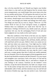day, is he less merciful than we? Should you forgive your brother seven times in a day until you had forgiven him for seventy times seven transgressions, you would forgive him seven times every day for two months and ten days. If God requires this much of you, how merciful must he be! This should not license you to doubt, but, on the contrary, should inspire you to believe that God will forgive you once more, even though your doubts and failings have been many. Two things you must rely on, trust in, cling to. These are—(1) The written Word of God, (2) Your God-given reason, or judgment. Without these two landmarks you could never find the way to deliverance. Feelings will deceive you, doubts assail you, and past experience fail you; but the unchanging Word of God and your better judgment are way marks on the road to peace.

Meet the conditions of the Word as the best you can, implore the help of God, and resisting Satan, set your face toward the land of victory, determined to conquer or die, and Satan, doubts, and fears will stand back and let you pass. Believe where you cannot see nor feel, and trust where you cannot trace. Your fight may be a feeble one for a while, but "each victory will help you some other to win," and you will soon be able to vanquish your every foe; and standing on the banks of sweet deliverance you may sing the victor's song and sway a scepter greater than that of which any earthly potentate has ever dreamed. Never be discouraged; all discouragements are of the devil and should be resisted as the devil himself. Use your reason and strengthen your conscience; look at the mercy of God and his loving kindness. Read the Bible, obey it, and believe it despite all your feelings to the contrary. Emotions are the doubter's worst enemies, except the devils themselves; but faith can conquer every foe. Tie the anchor of hope fast to the rock of eternal truth with the unbreakable cable of faith, and then emotions may rise and fall and the storms of doubts may rage, but your anchor is sure. And sooner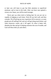or later you will learn to pay but little attention to superficial emotions, and to trust in the truth. After you have once gained a victory over Satan, you will be much stronger.

Never give up when tried or feeling bad, for you are not so capable of judging at such times. Wait till you feel well, and then consider. Put off giving up your experience till to-morrow, as some people put off seeking God, and you will get along much better; and when tomorrow comes, put it off again. Or what is better still, abandon the idea and go to helping someone else out of trouble, and God will bless both you and others.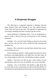# <span id="page-33-0"></span>**A Desperate Struggle**

The following is a supposed argument or dialogue, between Satan, Doubts, Fears, and Feelings on one side, against Reason, Truth, Faith, and Trust on the other. The argument is supposed to be concerning a doubting soul that is trying to get the victory.

Satan (speaking to Doubting Soul)—You are progressing so slowly of late, it must be that you are deceived in your Christian experience.

Feelings—Yes, you have been feeling so downcast for several days, and one who has the victory should feel like shouting and praising God.

Reason—This is the devil; you had better dismiss him at once, or he will deceive you.

Fears (coming up hastily)—Many people have been led astray by Reason, and supposing they were right, have lost their souls. So very many people are deceived, you had better examine yourself.

Doubts—You know you did not get a clear witness of your sanctification, and even if you are justified, you are not sanctified.

Feelings—Yes; we all believe that Doubts is right about this; for at the time of your consecration you did not feel like Brother A, who felt the fire and really knew that he had received the Holy Spirit.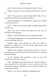Faith—Pay no attention to Feelings, but believe in God.

Doubts—But those who are saved should feel better than you do.

Truth—"By grace are ye saved through faith" (Eph. 2:8); so heed the admonition of Faith and dismiss these—

Fears (interrupting)—You had better be careful; you are liable to turn the Lord away.

Trust—"Trust in the Lord and do right," and these enemies shall not harm you.

Satan—Yes, but as Doubts has stated, this soul was not sanctified in the beginning.

Doubts—You had better give up your sanctification and—

Fears (interrupting again)—Yes, you had better be sure of it, for it is an awful thing to be lost.

Feelings—These awful feelings are surely the fruits of depravity or inherited sin. You do not feel right toward your brethren, and you feel so tried.

Doubts, Fears, Feelings, and Satan (all in unison)—Give up! give up! give up! you know you are not sanctified now, for you have listened to Doubts.

At this Doubting Soul concludes to give up and seek sanctification to be sure of heaven.

Satan—Although you have given it up now, you know that you were sanctified in the first place; and you could not fall from sanctification without committing sin, and if you have sinned, you are no longer justified.

Doubts—Yes, you have doubted, and doubting is sin.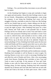Feelings—Yes. you feel just like a lost sinner; so you will surely have to repent.

At this Doubting Soul begins to weep and concludes to begin over again and seek pardon. About this time Feelings comes in, and his two friends—Despondency and Discouragement—come along for company. It now being late Doubting Soul weary with the struggles of the day, concludes to retire for a little rest. But Feelings and his two friends keep up such a chatter talking over the day's victory that Doubting Soul is unable to sleep, and arising concludes to pass the night in prayer. After Doubting Soul prays for a short time, Reason and Truth come in and persuade him to dismiss Feelings and his two friends and to invite Trust and Faith to come in. After some persuasion Doubting Soul concludes to invite Trust to come in, which he does, and concludes to rest for a while, as the night is now far spent. But soon after he retires, Doubts and his friend Worry rap at the door and ask to be admitted. Despite the earnest pleadings of Trust, Doubting Soul finally opens the door just a little and Doubts and Worry quickly press their way in; and as they come in at the door Trust is compelled to hasten out at the window, and Doubting Soul is again left in the hands of his enemies.

After a long struggle with Doubts and his troublesome comrade, Doubting Soul concludes to call for Reason to come in again. On entering, Reason at once sets to work to encourage Doubting Soul and offset the work of Doubts and Worry. After a few encouraging words from Reason, Doubting Soul concludes to have Trust and Truth to come in and help. At the entrance of Trust and Truth. Doubts at once calls for Satan and Fears to come in and to bring Feelings along. On their entering, Doubting Soul feels somewhat alarmed; but as Reason and Trust take their stand one on each side of him and Truth at his back, he feels quite secure. After a short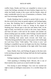conflict Satan, Doubts and Fears are compelled to retreat to one corner; but Feelings, seeming to be more fearless, lingers near for a while, but finally recedes to the corner with his friends, where all make considerable noise by way of lamentation, as Reason, Truth, and Trust encourage Doubting Soul.

Finally Doubting Soul is advised to permit Faith to enter. At this the crowd in the corner are greatly angered, and Feelings begins to weep. But Doubting Soul is strengthened by Truth and still exhorted to invite Faith to come in. Acting on the request of Doubting Soul, Reason goes to the door and admits Faith. At the sight of Faith, even before he is fairly in the room, Satan, Doubts, and Fears all make a wild rush for the window and clamber out almost treading upon one another; while Feelings crouches himself in the corner and keeps very still for a while. At the entrance of Faith. Doubting Soul seems much revived, and Truth says, "Therefore being justified by faith, we have peace with God through our Lord Jesus Christ." Faith replies, "The victory is won," and Feelings is compelled to go out, but lingers near the door. Doubting Soul now retires for the remainder of the night while Trust stands guard.

Satan, Doubts, Fears, and Feelings all appear at the door early in the morning and agree that Feelings shall take the lead in gaining an entrance.

Feelings (rapping at the door)—Let me in just for a while.

Truth (speaking to Doubting Soul)—Beware, this is one of those enemies that caused you so much trouble last night.

Fear (trying to assist Feelings)—You were too worried last night to make an intelligent consecration. It is a terrible thing to be lost.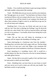Doubts—You would do much better to give up trying to believe and make another consecration this morning.

Truth—The Bible does not say you are saved by your emotions, but "through grace are ye saved." You had better not listen to these treacherous fellows who are trying to deceive you. You are now safe in our hands if you will but remain in our company; but should you allow these enemies of right to come in, we shall have to go out, for we will not keep such company.

Doubting Soul—I love you, my friend, and want you to stay with me, but I fear that in shutting out Feelings I may be deceived and shut out a dear friend. He is such an innocent fellow and longs so to be in my presence. I can hardly refrain from letting him in just for a little while.

Faith—The joy that you will obtain by remaining in our company will far surpass the friendship of Feelings, and—

Satan (interrupting in a boisterous tone from the outside)— Doubting Soul, you know that God is angry with you. The best thing you can do is to turn over a new leaf. Make a new resolution this morning and start at the foundation to build up a Christian character.

Fears (speaking in a trembling voice)—Oh! it would be a terrible thing to be shut out of heaven; to be lost in eternal darkness and sable gloom forever.

Satan—He that fails in one point is guilty of all, and there must be some point in which you have failed.

Fears—Doubting Soul, you have been on your knees so much and your nerves are in such a strain you will ruin your health. You had better resolve to quit praying.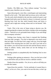Doubts—The Bible says, "Pray without ceasing." You have ceased to pray, therefore you are a sinner.

Satan (throwing his voice like a ventriloquist and representing himself as the Lord)—"My Spirit shall not always strive with man." "For the earth which drinketh in the rain that cometh oft upon it, and bringeth forth herbs meet for them by whom it is dressed, receiveth blessing from God: but that which beareth thorns and briers is rejected, and is nigh unto cursing; whose end is to be burned." Heb. 6:7, 8.

Truth—This is the voice of Satan trying to deceive you. He stopped quoting the scripture just before coming to this encouraging clause—"beloved we are persuaded better things of you and things that accompany salvation."

Feelings (now fearing, since Satan is exposed that Doubting Soul may take courage)—You feel so depressed; even much worse than last night. You feel that God is angry with you. Even the bright sunshine of the morning does not cheer you and if you look out at the window, you will see that even the trees and the flowers seem to droop in sadness. Surely, surely these are not the feelings of a redeemed soul.

Feelings pleads so sympathetically that Doubting Soul at once lets him in.

Feelings (after gaining an entrance)—Now you feel just as bad as you did before and you did not receive a definite witness.

Doubts (from the outside)—Yes, let us in, and we will help you to settle this matter.

Satan (from the outside)—"In the multitude of counsel there is safety"; so let us in. Now, you want to be sure this time, so don't go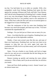too fast. You had better let us in while we consider. With a few sympathetic words from Feelings Doubting Soul opens the door against the warnings of Reason and Truth; and Faith, Trust, Reason, and Truth all retire disappointed at Doubting Soul's conduct, though not in any wise discouraged. Doubts and Feelings soon convince Doubting Soul that he is not justified, much to the satisfaction of Satan, while Fears walks the floor and casts an occasional glance at the haggard face of poor Doubting Soul.

After the continuance of this for some time Doubting Soul becomes very much discouraged, and Satan says to him, "You have committed the unpardonable sin."

Feelings—Yes you feel just as if there were no mercy for you.

Fears—I too think that this case is hopeless. Doubting Soul, you will never get out of this deplorable condition.

Doubts—I have seen several cases like this one, and none of them ever found peace. Doubting Soul, you have now been in my company so long that you can never again look upon the countenance of Faith; for he is my bitter enemy, and I will not permit him to see you.

Satan—You are a burden to your friends, and God no longer cares for you, and you are so miserable that the best thing you can do is to end your life and—

Reason (coming up quickly and entering the room without ceremony)—This is Satan, and if you do not resist him, he will drive you insane.

Satan and Fears (both speaking at once)—Insane! insane! you are almost insane now.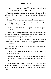Doubts—Yes, see how forgetful you are. You will never recover from this. Your mind is affected now.

Truth (stepping in with an air of assurance)—"Resist the devil, and he will flee from you. Draw nigh to God, and he will draw nigh to you."

Doubts—You are too weak to resist, so Truth must go out.

Faith (speaking from the door)—"Believe on the Lord Jesus Christ, and thou shalt be saved."

Fears—You have doubted too long now. You are too great a sinner to be forgiven.

Truth—This is false, you have not sinned, and even though your sins were as scarlet, they should be as white as snow, though they were red like crimson they should be as wool.

Satan—But you have no confidence in yourself, even if God is not displeased with you. Through long doubting you have cast away your confidence.

Faith—Your self-confidence will be restored to you if you will "have faith in God."

Feelings—You have doubted so long now and you feel so weak that you cannot believe.

Faith—Trust me, and I will drive Satan, Doubts, and Fears to the "four winds," and will conquer Feelings and make him your servant.

Reason—Feelings is always deceptive; trust him not. Many people feel right who are only deceived, and Feelings causes many an honest soul to listen to Satan and Doubts, who are both enemies of God.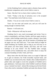At this Doubting Soul is almost ready to dismiss Satan and his troublesome companions and to invite Faith to come in.

Satan—But don't be in a hurry; there is plenty of time.

Truth—"Today is the day of salvation; now is the accepted time." You had better invite Faith in at once.

Doubts—You are too weak to have Faith to come in.

Trust—Let me enter and sustain you, and you will soon be strong enough to entertain Faith.

Reason—I will assist you.

Truth—Whosoever will may be saved.

Doubting Soul is now much encouraged and invites Trust to come in immediately, and Satan, Doubts, and Fears again recede to a corner, while Feelings stands back at quite a distance. Soon Faith is allowed to come in again, and all the enemies of Doubting Soul are again cast out, and Truth says, "Your name shall no longer be called Doubting, but Faithful; and so long as you will trust us we will protect you from Satan, Doubts, and Fears, and will cause Feelings to be your friend." On this Faithful takes courage, dismisses all his troublesome foes, and settles down to enjoy the constant friendship of Faith, Truth, and Trust.

Many times after this did Satan come as an angel of light and try to gain an entrance, but Truth invariably exposed Satan, and Faithful was not deceived by him. Doubts often clothed himself in pitiful robes and sought to excite the sympathy of Faithful and to gain admittance. And many times when Faithful would turn Doubts away, it seemed very hard—almost like turning away his best friend. Fears often tried to intimidate Faithful and make him dismiss Faith;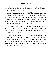but Faith, Truth, and Trust would sing a trio, which would always stimulate and encourage Faithful.

At first Trust would not allow Faithful to look out at the door when Satan, Doubts, and Fears were trying to get in, lest he should not be able to withstand them; but finally Faithful forgot all his former troubles, and when his old enemies would come around, he would take Faith with him and boldly open the door and rebuke Satan and his fellows and cause them to flee.

Feelings was rather treacherous for awhile and often came near deceiving Faithful; but Trust finally enabled him to ignore the foolish whims and sympathetic stories of Feelings, and to look to Faith and Truth for guidance.

Faithful soon aspired to greater victories and remembered his former troubles "as waters that pass away," and instead of spending his time in struggling with his enemies, he had time to praise God and worship him with joy. And Faith 'appointed unto him beauty for ashes, the oil of joy for mourning, the garments of praise for the spirit of heaviness.' Isa. 61:3.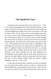# **"He Careth For You"**

"Casting all your care upon him; for he careth for you. " 1 Pet. 5:7. It is most encouraging to know that God really cares for us. Dear reader, he cares for you. Satan may sometimes try to discourage you with the thought that God does not care for you, but he is a liar and the father of lies. If God cared so much for the ungodly that while we were yet sinners and in rebellion against him, he gave the only Son of his bosom to die for us, will he not care for the discouraged ones whom Satan is trying to cast down? If God loves his enemies and his opposers, does he not love those whose souls pant for him as the "hart panteth after the water brooks"? Immediately after exhorting us to cast all our cares upon Jesus, the Apostle says: "Be sober, be vigilant; because your adversary the devil, as a roaring lion, walketh about, seeking whom he may devour: whom resist steadfast in the faith, knowing that the same afflictions are accomplished in your brethren that are in the world. But the God of all grace, who hath called us unto his eternal glory by Christ Jesus, after that ye have suffered awhile, make you perfect, stablish strengthen, settle you." 1 Pet. 5:8-10.

It seems that the apostle had in mind the necessity of casting all our cares upon Christ and his care for us when our "adversary the devil walketh about, seeking whom he may devour." After you have cast your care upon the Lord, firmly believing that God cares for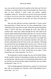you, you can then resist the devil steadfast in the faith, and "the God of all grace, who hath called us unto his eternal glory by Christ Jesus, after ye have suffered a while, make you perfect, stablish, strengthen, settle you." Satan does not care how much you resist him so long as you do not resist him "steadfast in the faith"; but when you begin to resist him thus, he must flee, for Christ will make him flee.

"But now thus saith the Lord that created thee, O Jacob, and he that formed thee, O Israel, Fear not: for I have redeemed thee, I have called thee by thy name; thou art mine. When thou passest through the waters I will be with thee; and through the rivers, they shall not overflow thee: when thou walkest through the fire, thou shalt not be burned; neither shall the flame kindle upon thee. For I am the Lord thy God, the holy one of Israel, thy Savior: I gave Egypt for thy ransom, Ethiopia and Seba for thee. Since thou wast precious in my sight, thou hast been honorable, and I have loved thee: therefore will I give men for thee, and people for thy life. Fear not: for I am with thee: I will bring thy seed from the east and gather thee from the west; I will say to the north, Give up; and to the south, Keep not back: bring my sons from far, and my daughters from the ends of the earth; even every one that is called by my name: for I have created him for my glory, I have formed him; yea, I have made him." Isa. 43:1-7.

"Be strong and of a good courage, fear not, nor be afraid of them: for the Lord thy God, he it is that doth go with thee; he will not fail thee nor forsake thee. And the Lord, he it is that doth go before thee; he will be with thee, he will not fail thee, neither forsake thee: fear not, neither be dismayed." Deut. 31:7, 8.

"The Lord hath appeared of old unto me, saying, Yea, I have loved thee with an everlasting love: therefore with loving kindness have I drawn thee." Jer. 31:3.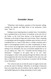## **Consider Jesus**

"Wherefore, holy brethren, partakers of the heavenly calling, consider the Apostle and High Priest of our profession, Christ Jesus." Heb. 3:1.

Nothing is more inspiring than to consider Jesus. You doubtless have considered him as the Savior of mankind, as the only Son of the Father, as the Lord from heaven, as the blessed and only Potentate, as the King of kings and Lord of lords. That is inspiring to contemplate and encouraging to meditate upon, but have you ever considered him as a man? In this there is a tender sweetness and a balm of encouragement found in no other consideration of Jesus. "For we have not an high priest which can not be touched with the feeling of our infirmities; but was in all points tempted like as we are yet without sin." Heb. 4:15. "Touched with the feeling of our infirmities." "Tempted in all points like as we are." How encouraging to realize when passing through the darkest trials and discouragements that Jesus has been tempted in the same way and then to think that his great loving heart is touched with the feeling of our infirmities!

"For verily he took not on him the nature of angels; but he took on him the seed of Abraham. Wherefore in all things it behooved him to be made like unto his brethren, that he might be a merciful and faithful high priest in things pertaining to God to make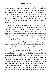reconciliation for the sins of the people. For in that he himself hath suffered being tempted, he is able to succor them that are tempted." Heb. 2:16-18. O merciful and faithful high priest, how great thy love for thy brethren! Note here these three points: First, Jesus is merciful; he is touched with your suffering. Second, he is faithful; he will not forsake you. Third, he is able to help you; "for in that he himself hath suffered being tempted, he is able to succor them that are tempted." Heb. 2:18.

Let us now fully consider Jesus in his earthly walk. He might have taken on him the nature of an angel, but then man might have said. "He, being an angel, could overcome the trials and the temptations of this world, but I am only a mortal man." That no man might have an excuse for failures and that all might have an example of success, Jesus took upon himself the nature of his brethren, was tempted in all points just as we are, underwent the severest of earthly trials, fought the hardest battles with sin and Satan, drank the bitter cup of human suffering to its dregs, and tasted death for every man, and consigned himself to the cold and narrow limits of the tomb.

Jesus felt in his natural body the pangs of hunger the same as you do. "And when he had fasted forty days and forty nights, he afterward hungered." Matt. 4:2, R. V. He also suffered from thirst; for when he was on the cross, he said, "I thirst." John 19:28. Physical exertion and the toils of life made him weary the same as they do you. John 4:6. When you are hungry, thirsty, or wearied with the toils and the responsibilities of life, consider Jesus, that he also was hungry and thirsty and weary, that he is a faithful high priest, that he is touched with the feeling of your infirmities, that he is able to succor them that are tempted. "Seeing then that we have a great high priest, that is passed into the heavens, Jesus the Son of God, let us hold fast our profession. For we have not an high priest which can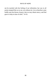not be touched with the feeling of our infirmities; but was in all points tempted like as we are, yet without sin. Let us therefore come boldly unto the throne of grace, that we may obtain mercy, and find grace to help in time of need." 14-16.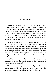# **Accusations**

What I am about to write has a very dark appearance, and lest the reader might conclude that such an experience is the unavoidable lot of every Christian, I must say that it is not. No one who will begin right, and begin in time, to cast aside the suggestions of Satan need suffer such things. Life is largely made up of habits, and only those who get into the habit of listening to impressions and ignoring reason and their better judgment are likely to fall into the ditch of accusations about to be described.

To those who are in this dark pit there seems no way of escape, and of all persons in this world who need the encouragement and the prayers of God's people, those who are tormented with accusations need them most. I say tormented, because to be accused by Satan is the purest type of torment and is akin to the torment of hell. None but those who have felt the living torture of accusation can realize the depth of suffering inflicted thereby. And what is more cruel, the devil invariably imposes accusations on the most conscientious persons. Those who are hard-hearted and stiff-necked he never attempts to accuse, as they already belong to him. He accuses the innocent and excuses the guilty.

The accusing spirit is generally so well disguised that persons unaccustomed to his wily tricks are easily deceived by him. Accusations often seem so real that it is hard for the over-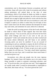conscientious soul to discriminate between accusations and real conviction. Satan will come with a load of accusations and without asking permission will unload them at the door of some conscientious child of God whom he thinks too feeble to remove them; and if he meets with any resistance, he will at once transform himself into an angel of light and strike his victim with the fear that he may grieve the Lord. Satan will cast an accusation at a soul, and if inquiry is made as to where it comes from, he will reply at once that it comes from God. He often continues this deception for many days and weeks, and sometimes for years, before he is detected.

Under the awful accusing powers of the devil souls often hope for death to relieve them of their anguish. But even here Satan appears and says, "You can not die, and you will never be free from these awful feelings and even if you were to die you are unprepared." Under such torment the nerves are often wrecked and the reason almost dethroned, and still Satan is not satisfied. Accusing spirits can never be satisfied. If you are accused of committing sin and you undertake to repent, the devil will then say that you are not repenting right, that your heart is not in it, or you are just going through a form. If Satan can get you to give up and try to repent, he will then say, "You had a much better experience before than you now have, and it would have been much better if you had not given it up."

Accusations very often get people into the most rigorous bondage. For instance Satan will impress you to do some certain thing—possibly to speak to someone concerning salvation—and say, "If you do not obey, you will lose your soul." Such suggestions are usually made when it would be unreasonable or impossible to obey them, then Satan will say, "You have grieved the Lord."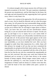It is almost enough to drive insane anyone who will listen to the repeated accusations of the devil. The past experience abandoned, the present one unsatisfactory, and but little hope for the future, the soul sighs and reels beneath the load, supposing that God is grieved away, when it is only Satan's lie.

Satan is very cautious in his approaches. He will not present too much at once, lest he should be detected; and yet when the proper time comes, he will present the most unreasonable things possible. He generally begins by suggesting that you are not sanctified. If he can get you to believe this, he will begin to argue about as follows: "Now, you know that you could not lose sanctification without losing all, so you are unsaved and will have to repent. On this you give up and begin to try to repent; but as you cannot think of anything of which to repent, you will possibly conclude that you are all right after all. At this juncture Satan again appears on the scene and suggests that even if you were all right in the first place, you are now backslidden, as you have doubted the Lord. After you have struggled on under these false impressions for a while, Satan will then advance far enough to tell you that you have committed the unpardonable sin and grieved the Holy Spirit entirely away. This lie is self-evident to all who are acquainted with the wiles of the devil, from the fact that the one who has committed the unpardonable sin does not feel convicted. But many poor souls have believed this falsehood and on account of it have been driven to the utmost bounds of human anguish. Mortal tongue cannot frame words to describe the suffering of a soul thus accused of the devil. The imagination of Dante could not dream of a darker scene than this, nor could the brush of the most skilled artist paint a picture so dismal.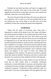Probably the next bold step Satan will take is to suggest selfdestruction, or suicide. And souls in this awful state of mental anguish have been known to take their own lives, and so perish soul and body, when mercy was freely offered.

The same vile spirit of the devil that will accuse you about your own experience will, in order to cut off any possible help he may see coming your way, accuse others to you and cause you to lose confidence in them thus causing still greater discouragement.

### **Confession**

Along with the spirit of accusation there often goes a disposition to confess all the deeds of one's life. Satan will bring to your mind some past mistake or sin or failure and tell you that if you do not confess it, you will lose your soul. Then when you go and confess to someone, Satan will turn and accuse you for doing what he impressed you to do and will say that you have made a fool of yourself and that the brother to whom you have confessed will never have confidence in you again. I have known persons under the spirit of accusation to confess publicly to the secret sins of their life, which the Lord had long forgiven and forgotten. Such confession brings shame and disgrace to the cause of Christ and nothing but discouragement to the confessor. The spirit of accusation is a greedy tyrant that cannot be satisfied. The person who tries to confess until the spirit of accusation has been satisfied will find a life-long task.

The Bible teaches that we shall confess our sins, but does not teach that we shall confess them to everybody. Sometimes confession to certain individuals is necessary, and sometimes when a community has been wronged, sinned against, or disgraced, public confession is required. "Confession to whom confession is due" is a good motto. If you have sinned against God and against him only,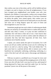then confess your sins to him alone, and he will be faithful and just to forgive you and to cleanse you from all unrighteousness. If you have wronged your neighborhood, your brother, your wife, your husband, your children, or your parents, confess your wrong to those whom you have wronged and to them alone. If you have committed sin before the public, have sinned openly, then confess your sin publicly. Remember this and do not let Satan push you over the mark and cause you to bring disgrace upon the cause of Christ and discouragement to your own soul.

Sometimes people get into such a habit of confessing past deeds that they are seized by an irresistible desire to confess their past life, and their only relief, it seems, is to pour out their confession to somebody who will listen to their tale of woe. I have known dear souls who were as honest as truth to confess under the influence of accusation that they had been hypocrites all their lives. Such confession never benefits anyone.

I repeat, you cannot satisfy the spirit of accusation, for it will accuse you till you confess and then accuse you for confessing. So there is no end to it, only by saying, "The Lord rebuke thee." To open your heart to a spiritual adviser able to instruct you is often beneficial, but continually confessing, confessing, confessing, is a work of the devil and will only tend to discourage and dishearten you.

With joy we point to a proffered way of escape for every soul bowed down by the accusing and discouraging powers of the devil. Every one who will take God's way may be set free, and instead of being depressed by Satan may tread him under foot, for God has promised "power over all the power of the enemy."

43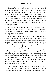The case of one oppressed with accusation very much reminds us of a certain ship and its crew that were once lost at sea. Having exhausted their fresh water supply, they were famishing with thirst; and on sighting another vessel passing near them, they cried out, "Water! fresh water!" In reply the crew on the passing vessel informed them that they were in the mouth of the Amazon River, and shouted, "Let down your buckets." Had not this lost crew been informed that they were in fresh waters, many might have perished, when help was near.

The accused and despondent soul is almost famished, and cries out for help, when the waters of life eternal flow so very near. Dear soul, there is help for you; the water of life is offered free, and if you will only drink, you may live.

There is one rule by which you may always detect the spirit of the devil and distinguish it from the Spirit of God. When the Spirit of God is convicting you of sin, it will point out the wrong so clearly that you will not be left in doubt; but when the devil is accusing, he can never tell what is wrong. You feel very bad and in every way you may feel like a sinner; but if you do not know that you have transgressed God's written law, stand your grounds and defy the devil. Satan may say that your trials are not like other people's trials, or that they last too long to be trials only; but if you continue to resist him, he must flee. You must be willing to bear trials, for "blessed is the man that endureth temptation." Jas. 1:12. You must learn to "count it all joy when you fall into divers temptations." Jas. 1:2. And "let patience have her perfect work, that ye may be perfect and entire, wanting nothing." Jas. 1:4.

Yonder is a city of refuge, dear accused and despondent soul, to which you may flee and be safe. It is called Stability, and its streets are paved with victory. In it floats the air of freedom, and all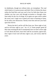its inhabitants, though not without trials, are triumphant. The road which leads to it is perseverance and faith. Flee to it before the slayer strikes the final blow and your soul is lost; for little does Satan care whether you lose your soul through accusation or through crime. Start today for the city of refuge, for its gates are open wide to admit the weary soul. Linger not to spend your time in listening to Satan, for he seeks your destruction. Sternly resist him and turn your back upon him forever.

"Resist the devil, and he will flee from you. Draw nigh to God, and he will draw nigh to you." Jas. 4:7, 8. Some people spend all their time resisting the devil consequently have no time to draw nigh to God. Resist the devil, leave him with his accusation, ignore him, draw nigh to God; God will draw nigh to you, and victory shall be yours.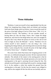# **Three Attitudes**

"Brethren, I count not myself to have apprehended: but this one thing I do, forgetting those things which are behind, and reaching forth unto those things which are before, I press toward the mark for the prize of the high calling of God in Christ Jesus." Phil. 3:13, 14, *Authorized Version*. "My brethren, I do not consider myself, as having taken (it). But one thing I know, that I forget the things behind me, and reach for the things before me; and I run straight for the goal, that I may obtain the (prize) of victory of the call of God from on high, by Jesus the Messiah."—*Syriac*. "Brethren I do not reckon myself to have attained it: but one thing I do;—even forgetting the things behind, and stretching forth towards the things before, I press along the line, towards the prize of the high calling of God by Christ Jesus."—*Emphatic Diaglott.*

The scene from which Paul draws the foregoing picture is the foot-race, so celebrated among the ancients. He here represents three attitudes. The attitude of the runner to the starting-point is that he forgets it, leaves it behind. His attitude (present) as he runs from the starting-point to the goal is pressing forward along the line. His attitude toward the goal is stretching forth toward it, running straight for it. In the stadium a white line marked the ground from the starting-place to the goal. On this line the runners were obliged to step, and he who stepped off this line did not run lawfully and was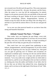not crowned even if he did reach the goal first. This scene represents the whole of our present life—the past, the present, and the future. After the runner in a race has left the starting-place, he entirely forgets it as he presses onward in the race and thinks of the prize and the honor awaiting at the goal. Neither do his past circumstances, financial surroundings, failures, disappointments, business or friends occupy his mind. He does one thing ("this one thing I do"), and that is to put forth his utmost effort to win the race and gain the prize.

Let us now see what practical benefit we can derive from this strong and beautiful illustration.

### **Attitude Toward The Past—"I Forget."**

Dear reader, have you forgotten the past things—every trial, disappointment, and discouragement? If you have not, let me exhort you today, even now, to do this one thing—to forget everything of the past that will not help you gain the prize of eternal life.

How much have you ever gained from meditating on past failures, disappointments, and discouragements? If you have sinned and God, by forgiving your sins, has put it behind you, what good can you gain by grieving over it? Failures and accusations are unpleasant to meditate upon. Grieving over the sins and the failures of misspent days is a poor way to occupy your present precious moments. "Let us lay aside every weight and the sin which doth so easily beset us, and let us run with patience the race that is set before us, looking unto Jesus the author and finisher of our faith; who for the joy that was set before him endured the cross, despising the shame, and is set down at the right hand of the throne of God." Heb. 12:1, 2.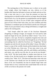The starting-place of the Christian race is where we lay aside every weight, where God forgives our sins, relieves us of the burdens that Satan has laid upon us looses our bands and sets us free. Like a man who runs in a race, from the moment we leave the starting-point we should trouble ourselves no longer about the things that lie back of us; for the greatest accomplishments and the highest achievements of a life in sin are of little value compared with the grace of God. Of how little value, then, yea, how worthless and what a hindrance, to meditate upon are the failures and the sins of the past! Think of your past failures only as things left behind, as weights laid aside at the starting-point.

"And Joseph called the name of the first-born Manasseh (forgetting or making to forget, see margin): for God said he, hath made me forget all my toil, and all my father's house." Gen. 41:51. Joseph is a fair type. He had so completely forgotten the trials and the disappointments of his former life through the joy of his present surroundings that he called his first-born son "Forgetting." He had forgotten not only his toil, but also all his father's house. His father's house is a type of the worldly friends and the kindred ties that hinder us in the Christian race. Jesus says, "If any man come to me, and hate not his father, and mother, and wife, and children, and brethren, and sisters, yea, and his own life also, he can not be my disciple." Luke 14:26. "He that loveth father or mother more than me is not worthy of me. He that loveth son or daughter more than me is not worthy of me." Matt. 10:37. This does not mean that a man who runs in the Christian race should not love his kindred nor provide for those of his own household, but that he should forget them and forsake them in every connection that would hinder him in the race of life or tie him to the present evil world.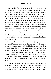While Job kept his eyes upon his troubles, he feared to forget his complaint or to leave off his heaviness and comfort himself; but when he got his eyes upon God, "Then Job answered the Lord and said, I know that thou canst do everything, and that no thought can be withholden from thee." As long as your attention is given to your trials or to your discouragements and despondent feelings, you are not likely to see above them; but if you will forget those things that are past, and will set your eyes upon God, victory is certain. "For then shalt thou lift up thy face without spot; yea, thou shalt be steadfast, and shalt not fear: because thou shalt forget thy misery, and remember it as waters that pass away: and thine age shall be clearer than the noonday; thou shalt shine forth, thou shalt be as the morning. And thou shalt be secure, because there is hope; yea thou shalt dig about thee, and shalt take thy rest in safety. Also thou shalt lie down, and none shall make thee afraid; yea, many shall make suit unto thee." Job 11:15-19.

Satan has hindered many dear souls from enjoying the blessings of God and from pressing on in the Christian race by pointing them to sins of the past—sins which God had forgiven. What if the mistakes of your life have been many; what if you have been in the depths of sin; did not Jesus forgive the vilest of sinner? Did he not say to the adultress who was caught in the very act, the very vilest of sins, "Neither do I condemn thee; go and sin no more"? Hath not the Lord said "Though ye have lien among the pots, yet shall ye be as the wings of a dove covered with silver, and her feathers with yellow gold"? Psa. 68:13.

"Fear not: for thou shalt not be ashamed: neither be thou confounded; for thou shalt not be put to shame: for thou shalt forget the shame of thy youth, and shalt not remember the reproach of thy widowhood any more. For thy Maker is thine husband; the Lord of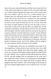hosts is his name: and thy Redeemer the Holy One of Israel; the God of the whole earth shall he be called. For the Lord hath called thee as a woman forsaken and grieved in spirit, and a wife of youth, when thou wast refused, saith thy God. For a small moment have I forsaken thee; but with great mercies will I gather thee. In a little wrath I hid my face from thee for a moment; but with everlasting kindness will I have mercy on thee, saith the Lord thy Redeemer. For this is as the waters of Noah unto me: for as I have sworn that the waters of Noah should no more go over the earth; so have I sworn that I would not be wroth with thee, nor rebuke thee. For the mountains shall depart, and the hills be removed; but my kindness shall not depart from thee, neither shall the covenant of my peace be removed, saith the Lord that hath mercy on thee. O thou afflicted, tossed with tempest, and not comforted, behold. I will lay thy stones with fair colors and lay thy foundations with sapphires. And I will make thy windows of agates, and thy gates of carbuncles, and all thy borders of pleasant stones. And all thy children shall be taught of the Lord; and great shall be the peace of thy children.

"In righteousness shalt thou be established: thou shalt be far from oppression; for thou shalt not fear: and from terror; for it shall not come near thee. Behold, they shall surely gather together, but not by me: whosoever shall gather together against thee shall fall for thy sake. Behold, I have created the smith that bloweth the coals in the fire, and that bringeth forth an instrument for his work; and I have created the waster to destroy. No weapon that is formed against thee shall prosper; and every tongue that shall rise against thee in judgment thou shall condemn. This is the heritage of the servants of the Lord, and their righteousness is of me, saith the Lord." Isa. 54:4- 17.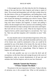A discouraged person will often help the devil by bringing up things of the past that have been forgiven and trying to repent of them. The accused and despondent soul will often wander down by the dark shores of the sea of forgetfulness, and finding there a bark of discouragement, will launch it and sail out through the fog and mist of past life hunting for something over which to mourn. Often some mistake or sin of the past, which, like an ocean derelict, has long since been forsaken and forgotten, is found; and pulling it ashore, the discouraged soul who is anxious to do something, invites friends and brethren to help in asking God to take notice and forgive. But God will not visit such a scene. What he has forgiven he has forgiven forever, and he cannot forgive it a second time, "for," says he, "their sins and their iniquities will I remember no more." Heb.  $8:12.$ 

If a man should come to God and obtain forgiveness of his sins, live a faithful life for a while, and finally backslide and be lost, none of his former sins would be mentioned to him, nor would he be punished for any of the deeds of his former life, but only for those committed at the time of, and after, his fall. Neither will the Lord forgive only a part of our wrong-doings. When he forgives, he forgives all, and forgives forever.

So the only possible way out is to resist the devil and all accusations; cut the shore-lines and consign the past to the waves of forgetfulness; make an eternal abandonment of all past sins and mistakes that God has forgiven; and set your face Zionward.

### **Attitude Toward the Present— "I Press Toward The Mark."**

The present is the most important of all times. Today is the day of salvation; now is the accepted time. What we did yesterday is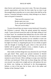done forever and tomorrow may never come. The man who grasps present opportunities and does his best today has no time to get discouraged about yesterday nor to worry about what shall be on the morrow. Yesterday belongs to eternity; today belongs to us; Satan's time to do good is tomorrow.

> "Wait not till to-morrow's sun Beams upon your way To do a good and cheerful deed That you can do today."

To press forward does not mean to press backward. Forward to the Christian is upward. When the apostle penned the immortal words "I press forward toward the mark of the high calling of God in Christ Jesus" he considered that behind him was the world with its follies, disappointments and misery. He had no time to consider that which was behind. The present was too valuable to waste one moment on the things which he had already counted as refuse that he might win Christ; so, forgetting the past, he was wholly occupied with the thought of reaching the goal, where to him and all the faithful will be granted a fadeless crown, a diadem of glory, an eternal home at God's right hand forevermore.

Dear reader, do these things have any attraction for you? Would you gain them? Then, spend your present moments in blissful meditation on these eternal things. It will help you at this present moment to press forward. Allow nothing to occupy your mind that will draw you backward. Think only on those things that will help you onward. Lay aside every weight and run with patience the race set before you, looking, not backward to the discouragements, failures, or sins of the past, but to Jesus, who is the author and finisher of the Christian's faith.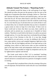### **Attitude Toward The Future—"Reaching Forth."**

Our attitude toward the future is the well-spring of our hope. We should not allow the past nor the present to dim our eyes to the bright star of inspiration that shines invitingly, before us. Take from the Christian the hope of heaven and immortal glory, and you take from him his all. We have often heard it said that if there were no future reward the joys of salvation in this life would be worth living for. It is true that the joys of salvation here are worth all that it costs to obtain them, but we should remember that joy here is founded to a great extent on what we hope for in the future. If there were no future world and we knew that there was none, there could be no salvation and no present joy; so present joy is founded on future realities. Therefore to reach forth to the future is to add to our present strength and joy. It is true that many have overlooked the privileges and the joys of the Christian in this life. It is true that, though surrounded by sin and sorrow, we may, by abiding in the Savior's love, enjoy perfect victory and complete happiness right here in this world; but, after all, the brightest and best of our hope and joy is the unfading crown which we shall receive after we have reached the goal in the land where trials and temptations shall never come and where we shall be surrounded no longer by temptation and sin, but by righteousness supreme and eternal.

The Greek word which in Phil. 3:13 is translated "reaching forth" points out the strong exertion made in the race wherein every muscle and nerve is strained and every particle of strength is exerted in running.

The apostle Paul considered that to him the winning of the prize was all-important. He had left the world with all it was worth behind him.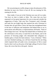He was pressing too swiftly along to enjoy the pleasures of life, therefore he must win Christ or lose all. He was running for life, running for his life.

Dear reader, if you are in the Christian race your all is at stake. You have no time to doubt or falter. The cause that you have espoused is of too great importance for you to stop and consider the suggestions of Satan. Take your New Testament, read it through, and mark the one bright hope that inspired the early Christians to forsake their all and follow Christ; the hope that strengthened them in the hour of affliction and temptation and helped them to say in persecutions and afflictions, in imprisonments and bonds, "None of these things move me;" the hope that helped them to fearlessly face the wild beasts in the arena, to stand firm in the flames, and in the presence of frowning judges who demanded their allegiance to heathen gods, to frame the fatal sentence, "I am a Christian." When you have finished marking, you will have found that the one thing which inspired them all under every circumstance of life to stand loyal to their Lord was the prize of the high calling of God in Christ Jesus, the crown that lies at the goal—heaven.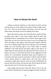# **How to Resist the Devil**

"Submit yourselves therefore to God. Resist the devil, and he will flee from you. Draw nigh to God, and he will draw nigh to you." Jas. 4:7-8. This text gives perfect instructions, and one who will follow them will always succeed in getting rid of Satan.

Notice the order of action. First, resist the devil, and he will flee; secondly, draw nigh to God. Some people spend all their time resisting the devil, consequently have no time to draw nigh to God. Satan does not care how much you resist in your own strength; but when you begin to draw nigh to God, then Satan trembles and flees away. He is willing to fight with you for a life-time, if he can thereby hinder you from drawing nigh to God. When Satan is resisted stedfastly in the faith and the soul draws nigh to God, there is no longer hope for Satan and the only alternative left him is to flee. As long as you show a weak faith and listen to the suggestions of the enemy, he is well pleased. Sometimes Satan must be ignored. It is not always necessary to get on your knees in order to resist the devil. I have known persons to spend hours, and even days, almost constantly on their knees and yet come out in the end defeated, not because they did not pray, but because they did not ignore the devil and resist him once for all, then draw nigh to God.

Some people pray because Satan tells them to do so. He will accuse them of having done wrong and suggest that they had better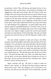go and pray a while. They will then go and spend an hour or two, perhaps half a day, on their knees, not praying, but listening to the suggestions of the devil and trying to get rid of him in their own strength. Never go and pray because you are accused. When you go to pray, always pray to the Lord, who is ever willing to hear you and to grant you all your needs. Ask him in faith and confidence for the needed strength and grace, never forgetting to thank him for what he has done. I have often found that the best way to get rid of Satan is to quit thinking of his suggestions—to utterly ignore him and to interest myself in something beneficial. If you have work to do, set about it, singing some encouraging song as you work, or take a Bible and read a few chapters. Begin to praise the Lord for past benefits and rejoice in expectations of future blessings. The more you thank and praise the Lord, the less you will feel disposed to doubt or give up.

The only reliable standard of right and wrong is the Bible. Acquaint yourself thoroughly with the practical precepts of the New Testament. You will then be well armed and able to decide whether an impression is from the Lord or of the devil, and when you know it is the devil, you will surely not spend time parleying with him. Some people however, get in such a habit of listening to Satan that you will hear them say, "The devil has been after me for two or three days." The devil has been after you? Then, you really knew that it was the devil, yet you have allowed him to trouble you for two or three days. Do you not know that the New Testament says, "Resist the devil, and he will flee from you."

Again, someone will say, "the devil is trying to make me believe I have sinned," or "the devil has been trying to make me believe this or that." Who was talking to you? If you knew it was the devil, why did you not resist him? If you resisted him, why did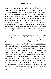you not then draw nigh to God? and as God would have drawn near to you, Satan would have fled. But you really spent two or three days listening to what you knew was the suggestion of the devil and spent hours on your knees wrestling in your own strength against what you knew was the suggestion of the evil one. Be ashamed and never do the like again. If Satan tells you a lie and you know it to be Satan and know it to be a lie you are to blame if you believe it; and if you disbelieve it, act accordingly. Do not be afraid to let Satan know that you believe him to be a liar. You may tell him in a trembling way, as many times as you please that he is a liar, that you do not believe him, and that you believe the Lord, but little does he care what you tell him, so long as you continue to worry about what he has told you.

Now, in conclusion let me give you a perfect plan to get rid of the devil at any time and under any circumstance. First, as I have said, you must be acquainted with the practical precepts of the New Testament, so that you may detect the difference between the voice of Satan and the voice of God. Then in your action against the devil follow carefully this order of attack: First, resist the devil steadfastly in the faith; secondly do not linger to see whether he will go or not, but draw nigh to God with all your heart. When Satan sees you start toward the Lord, he will become frightened and flee away. By following this order of attack you will see that you have only a small part to perform in getting rid of the devil and you will find it an easy task; for as Satan departs, God draws nigh. You have but one-third of the distance to go; for as you draw nigh to God, he draws nigh to you, and Satan flees at the same rate of speed. So then, when you have drawn nigh the Lord you will be twice as far from Satan as the distance you have come; for as you draw nigh to God, he draws nigh to you and Satan flees away. Amen.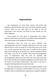# **Impressions**

Our impressions are from three sources—the divine, the diabolical, and the human; from God, from Satan, and from natural sources. There are two rules given us by which to test our impressions—first and best, the Word of God; second our own better judgment.

Some people are more given to impressions than others. Persons of the former class need to be careful lest they should follow some *ignis fatuus* to the quagmires of fanaticism.

Impressions from the Lord are never attended with discouragements from him. Though sometimes the way may seem difficult and we may see ahead of us lions that seem to be on the way, yet the assurance that God's grace is sufficient, the promise that no lions shall go up on the holy way, and the confidence that he will make a way for us in trouble—these keep discouragements away. If impressions from the Lord are attended with discouragements, these are not from the Lord. Even with conviction for sin the Lord does not send discouragement, but rather sends with the sorrow for sin hope of deliverance. This, then, is one way to recognize the impressions that come from God.

The surest and best test, of course is to consider whether or not the impression is in harmony with the Bible. If it is not, it is unsafe to follow. But we sometimes have impressions in regard to things of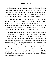which the scriptures do not speak. In such cases the Lord allows us to use our better judgment. We often receive impressions from the Spirit of God concerning matters on which the Bible is silent, but the difficult point with those who are accused and doubting is to know when the Lord is talking and when Satan is talking.

It is well for those who are habitual doubters, or for those who have long been accused, to pay but little attention to impressions of any kind. For such persons the safest way out is to take the written Word of God and their better judgment, and build upon it until they have become well established. Then they can more easily and more surely obtain the leadings of the Lord through his Spirit.

Impressions brought about by circumstances or natural causes may sometimes be harmless and sometimes may lead to disaster. Your better judgment and the advice of discreet brethren constitute the surest way to discriminate between right and wrong impressions of this nature. Impressions that come from Satan, we all know, are invariably wrong. The most important question is to be able to detect the impressions of the devil to know when the Lord is speaking and when Satan is tempting. I repeat that the only safe way out from the slough of false impressions for those who have become habitual doubters or have been long accused by Satan is the written Word of God, the advice of spiritual and well-informed brethren, and the use of one's own better judgment.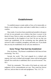# **Establishment**

To establish means to make stable or firm, to fix immovable, or firmly; to set a thing in a place and make it stable there; to settle; to confirm.

Dear reader, if you have been unsettled and unstable in the grace of God, let me persuade you to believe that there is power in the blood of Jesus Christ to make you stable and firm, to settle and fix you immovable in the kingdom of our God. Do not say that you cannot get established; for the everlasting arm that upholds the universe is able to establish, strengthen, and settle you. If you doubt that you may be established, let me call your attention to:

### **Some Things That God Has Established**

First, his throne. "Thy throne is established of old: thou art from everlasting." Psa. 93:2.

Second, the world. "The Lord reigneth he is clothed with majesty: the Lord is clothed with strength, where with he hath girded himself: the world also is stablished, that it can not be moved." Psa.  $93:1$ .

Third, his commands. "The works of his hands are verity and judgment; all his commandments are sure. They stand fast forever and ever, and are done in truth and uprightness." Psa. 111:7, 8.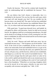Fourth, the heavens. "The Lord by wisdom hath founded the earth: by understanding hath he established the heavens." Prov.  $3:19.$ 

Do you believe that God's throne is immovable, that it is established in the heavens? Do you fear that the earth upon which you tread will sink beneath your feet? Do you tremble lest the heavens above you should fall? The same God that has established his throne, the earth, and the heavens has established Mount Zion (Isa. 2:2), on whose sunlit and immovable heights you may stand.

Fifth, good men. "A good man showeth favor, and lendeth: he will guide his affairs with discretion. Surely he shall not be moved forever: the righteous shall be in everlasting remembrance. He shall not be afraid of evil tidings; his heart is fixed, trusting the Lord. His heart is established, he shall not be afraid until he see his desire upon his enemies." Psa. 112:5-8.

Sixth, his word. "Heaven and earth shall pass away, but my word shall not pass away." "The Scriptures can not be broken." John 10:35. If the word of God is established, all that we have to do in order to be immovably fixed and established forever is to get on his word and remain there. Some day the earth, now upheld by the word of God, will pass away, and the heavens, which are now established, shall depart as a scroll; but "the word of God abideth forever." The word of God is stronger than the earth upon which we walk, for by it the world is upheld and should the earth at any moment pass from beneath us, those who are standing on the word of God would still have a firm foundation. "Wherefore we receiving a kingdom which can not be moved, let us have grace, whereby we may serve God acceptably with reverence and godly fear." Heb. 12:28.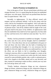### **God's Promise to Establish Us**

First, in the grace of God. "Be not carried about with divers and strange doctrines. For it is a good thing that the heart be established with grace: not with meats, which have not profited them that have been occupied therein." Heb. 13:9.

Secondly, in righteousness. "O thou afflicted, tossed with tempest, and not comforted, behold, I will lay thy stones with fair colors, and lay thy foundations with sapphires. And I will make thy windows of agates, and thy gates of carbuncles, and all thy borders of pleasant stones. And all thy children shall be taught of the Lord; and great shall be the peace of thy children. In righteousness shalt thou be established: thou shalt be far from oppression; for thou shalt not fear: and from terror; for it shall not come near thee." Isa. 43:11- 14.

Thirdly, God has promised to establish our thoughts. "Commit thy works unto the Lord, and thy thoughts shall be established." Prov. 16:3. Very often those who are not established in the grace of God and those who have fallen into the habit of doubting have trouble in controlling their thoughts. It is very necessary that the thoughts be directed aright; but unless you understand how to make the effort, you are likely to fail in controlling your thoughts. Continual conscious effort to control the thoughts is a strain on the mind. The best way is to commit your works unto the Lord; interest yourself in some profitable pastime, take a walk in a pleasant grove, read a few chapters in the Bible, attend well to your devotion, and then, instead of continuing to make an effort, commit your way unto the Lord and go about your work.

"Finally, brethren, whatsoever things are true, whatsoever things are honest, whatsoever things are just, whatsoever things are pure, whatsoever things are lovely, whatsoever things are of good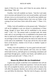report; if there be any virtue, and if there be any praise, think on these things." Phil. 4:8.

Fourthly, God will establish our hearts. "And the Lord make you to increase and abound in love one toward another, and toward all men, even as we do toward you: to the end he may stablish your hearts unblameable in holiness before God, even our Father, at the coming of our Lord Jesus Christ with all his saints." 1 Thess. 3:12, 13.

Fifthly, God will establish us in the present truth. "Wherefore I will not be negligent to put you always in remembrance of these things, though ye know them and be established in the present truth." 2 Pet. 1:12. The present truth is revealed truth, the whole truth, and it is our privilege to be so established in the present truth that we shall not be wondering whether this way is right or not. It is our privilege to know the truth and by the truth to be made free and in the truth to be established. "If any man will do his will, he shall know of the doctrine, whether it be of God, or whether I speak of myself." John 7:17.

Sixthly, God will establish us "in every good word and work." "Now our Lord Jesus Christ himself, and God, even our Father, which hath loved us, and hath given us everlasting consolation and good hope through grace, comfort your hearts, and stablish you in every good word and work." 2 Thess. 2:16, 17.

## **Means By Which We Are Established**

A great many people would like to be established who will not pay the price in order to obtain the experience. God uses the means that will accomplish his desire, and he knows best the means that will affect his purpose; therefore you will do well to submit to his way and follow his directions. "But the God of all grace, who hath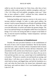called us unto his eternal glory by Christ Jesus, after that ye have suffered a while, make you perfect, stablish, strengthen, settle you." 1 Pet. 5:10. When will God stablish, strengthen, settle you? "After that ye have suffered a while"—suffered the trials, endured the temptations, and conquered every emotion.

Enduring hardships and vigorous exercise is the surest way to increase physical strength. In order to make good soldiers, the ancient's used to expose themselves to all kinds of hardships till they were inured to heat and cold, hunger and thirst. Then they could scorn the difficulties of warfare and endure the greatest fatigue. The law of our spiritual being is not altogether unlike that of our physical beings. If we wish to be strong and able to conquer in the battles of life, we must be inured to hardships, "endure temptation," and learn to "suffer a while."

### **Hindrances to Establishment**

Possibly the most prevalent hindrance to the establishment of the souls of men is lack of proper foundation "But he that heareth, and doeth not, is like a man that without a foundation built an house upon the earth; against which the stream did beat vehemently, and immediately it fell; and the ruin of that house was great." Luke 6:49. Those who hear the word of God and do it not, those who say yes to God and then go their own way, cannot hope to be established here or hereafter. "Whosoever cometh to me and heareth my sayings, and doeth them, I will show you to whom he is like; he is like a man which built an house, and digged deep, and laid the foundation on a rock: and when the flood arose, the stream beat vehemently upon that house, and could not shake it: for it was founded upon a rock." Luke 6:47, 48.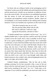For those who are willing to build on the unchanging word of God alone; to take away all the rubbish and sand lying between them and the eternal rock; to build, not on emotions or traditions of man, but on the word of truth—for such there is an established experience that the storms of trials and persecutions and the floods of accusations and temptations cannot overthrow. Reader, where are you building? Is your house founded on the sinking sand of human emotion? or have you founded your experience on the word of God.

> "The tide of emotion may run as it will, The Son and the Father abide with me still. His word is sufficient, I seek not a sign; I grasp but the promise, salvation is mine."

"A double-minded man is unstable in all his ways." Jas. 1:8. A double-minded man is a man who has a mind to serve the Lord and a mind to serve the world. Such a man is unstable in all his ways. He is not a good worldling nor a good Christian. He is continually in indecision. A lack of decision hinders many dear souls who would serve the Lord. Decision, it is said, is half the battle. Decide to do a thing, and you have it half done. Doubters often make a firm decision for the time being, but the decision, itself is not fixed, for no sooner does Satan attack their decision, than they let down the shield of faith and become undecided. If this is your experience, what you need is not a rash vow to go through, made today and broken tomorrow, but a settled, calm, and unchanging decision to be right, to do right, and to believe right.

Unbelief hinders establishment. "But let him ask in faith, nothing wavering. For he that wavereth is like a wave of the sea driven with the wind and tossed. For let not that man think that he shall receive anything of the Lord." Jas. 1:6, 7. Faith, then, is allimportant. If you would be established, you must have faith. Do not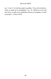say, "I can't," for God has made it possible. "If ye will not believe, surely ye shall not be established." Isa. 7:8. "Believe in the Lord your God, so shall ye be established; believe his prophets, so shall ye prosper." 2 Chron. 20:20.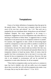## **Temptations**

I know of no better definition of temptation than that given by the apostle James—"But every man is tempted, when he is drawn away of his own lust, and enticed." Jas. 1:14. "But each one is tempted by his own inordinate desire, being drawn out and allured." *Emphatic Diaglott*. Not every suggestion to do wrong is a temptation. Suggestions to evil are temptations only when there is a drawing or inclination to follow them. A suggestion that is a strong temptation to one person may be no temptation whatever to another. For instance, the suggestion to take a drink of intoxicating liquor would be a temptation to some man while to another it would be no temptation whatever. One man may be easily tempted to covetousness, because his natural make-up inclines him that way; while another man, who is free-hearted and naturally liberal, has no temptation whatever to hoard up money. Both, of course, must be equally free from covetousness; but to one man it is an easy task, because he has no temptations to be avaricious. However, the man who is not tempted to covetousness will not be unvisited by temptation in some other direction, for all are tempted.

"There hath no temptation taken you but such as is common to man: but God is faithful, who will not suffer you to be tempted above that ye are able, but will with the temptation also make a way of escape, that ye may be able to bear it." 1 Cor. 10:13.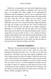When lust, or strong desire, has conceived through the consent of the will and one has yielded to temptation, then, and not until then, is sin brought forth. Many people do not understand the difference between temptation and sin; do not understand where temptation ends and sin begins. Sometimes Satan will tempt people, and then when they feel the weight and the drawing of the temptation, will accuse them, telling them they have sinned. Remember that your will is yourself and that, though temptations may rage, yet so long as your will says "No" and you refrain from sin, God will stand by you and help you to conquer temptation. Remember, 'he is faithful, and will not suffer you to be tempted above that you are able, but will with the temptation make a way of escape that you may be able to bear it.' You should not think it strange concerning the fiery trials and the burning temptations with which the Lord intends to try you. Consider them as ordinary occurrences; gird up the loins of your mind; call upon the name of the Lord; and resist the devil stedfast in the faith.

#### **Enduring Temptation**

"Blessed is the man that endureth temptation: for when he is tried, he shall receive the crown of life, which the Lord hath promised to them that love him." Jas. 1:12. Here we see that God pronounces a blessing on the man that endures temptation. God never tempts anyone, but often tries people. Would you receive the crown of life which the Lord has promised to those who love him? Then, you must endure the temptation; you must be tried, for until then you cannot receive it. So when temptation overtakes you, do not forget to endure, for thereby you shall gain the crown of life. 'And after that ye have suffered a while, the God of all grace, who has called us unto his eternal glory by Christ Jesus, will make you perfect, stablish, strengthen, settle you.'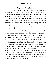#### RAYS OF HOPE

### **Enjoying Temptation**

"My brethren, count it all joy when ye fall into divers temptations." Jas. 1:2. You may wonder where there is any room for joy in temptation; but after you have learned to endure it for a while, you will learn the secret of making your temptations transparent by the compound application of faith and trust. No temptation seems joyous for the present; but by faith we can see through the temptation and behold the strength and the victory that we are winning through its endurance, and thus the severest temptation may be mixed with joy. As Jesus, for the joy that was set before him, endured the suffering of the cross; so we, for the joy of the victory set before us, may gladly endure the temptation, and by anticipating the blessings pronounced on the man that endures temptation, we may have joy at present, though overtaken by divers temptations. By considering the worth of temptations and the benefit to our experience to be derived from them, we can count them joy.

"Knowing this, that the trying of your faith worketh patience." Jas. 1:3. Patience is a priceless gem. So when we are blessed with the very cause that effects patience—temptation—we should not yield to sin nor murmur at our lot. "But let patience have her perfect work, that ye may be perfect and entire, wanting nothing." Jas. 1:4. Perfect and entire wanting nothing—thank God! What a happy state! Yet the road by which this state is reached is one of temptation; for temptation tries our faith, faith works patience, and patience perfects us in every good thing.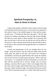# **Spiritual Prosperity; or, How to Grow in Grace**

A great many people would like to grow in grace and are trying to be spiritual, but do not know how. Let me invite your attention to the words of Jesus in the twelfth chapter of Luke and the twentyseventh verse—"Consider the lilies how they grow," The lily does not grow by toiling or spinning nor does she take anxious thought. She does not worry about in whose meadow she is growing. She does not fear that it will not rain nor that the sun will not shine on the morrow. In fact, she does not put forth any special effort to grow, yet she grows and is arrayed more gorgeously than was Solomon in all his glory.

Growth and perpetuation of life are brought about by two things—food and exercise. The lily sends her tender roots into the earth, opens her petals to the dew, and receives her God-given nourishment; and from the gentle breezes that sweep the meadow she receives exercise. By these means she grows. There is only one way to grow—to correspond with the environments, to eat the food that God has provided and to exercise. People who are always making a conscious effort to grow in their own strength, often, like the wasp, which is larger when hatched than at any other time in its life, grow smaller instead of larger. Our spiritual food is the word of God. "But he answered and said, It is written, Man shall not live by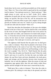bread alone, but by every word that proceedeth out of the mouth of God." Matt. 4:4. "Eat ye that which is good and let thy soul delight itself in fatness." Our spiritual exercise is; "Watch and pray;" "Men ought always to pray, and not to faint" (Luke 18:1); endure temptation; do good unto all men; rejoice evermore. If we do these things, our growth, like that of the lily, will be unconscious and spontaneous. Conscious effort to grow and a neglect of the laws of growth are fruitless and vain; for "which of you by taking thought can add one cubit unto his stature?" Matt. 6:27.

David thus describes the blessedness of the man who delights himself in the law of the Lord: "And he shall be like a tree planted by the rivers of water, that bringeth forth his fruit in his season; his leaf also shall not wither, and whatsoever he doeth shall prosper." Psa. 1:3. From the rich soil of the river-bank and the moisture of its waters, the tree draws its food—corresponds with its environment and so prospers. The winds give it exercise, and it grows.

"The righteous shall flourish like the palm tree: he shall grow like a cedar in Lebanon. Those that be planted in the house of the Lord shall flourish in the courts of our God. They shall still bring forth fruit in old age; they shall be fat and flourishing; to show that the Lord is upright:" Psa. 92:12-15. "Shall flourish like the palm tree." When does the palm tree flourish the most? When the winds bend it and sway it to and fro; for then the roots run farther and deeper, the sap flows faster and more abundantly, the trunk grows larger and stronger and the branches become more luxuriant and beautiful. Just so with the righteous. When the storms of trials and temptations rage against them, then life and vitality within flows quicker and the strength of the inner man is renewed day by day.

"Shall grow like a cedar in Lebanon." How does the cedar in Lebanon grow? By sinking its roots deep in the ground; and when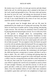the storms sway it to and fro, its roots get exercise and take deeper hold in the soil. So with the person who is planted in the house of the Lord, rooted and grounded in love. The more trials and storms, the more he loves his Lord, 'and taking root downward, he bears fruit upward.' So, dear one, if you would be established in the grace of God, if you would flourish in the courts of our God, you must stand the storms of trials and temptations.

Our growth must be brought about and our life must be perpetuated by the simple acts of eating and exercising. The infant draws its food from its mother and by crying, kicking, and playing it gets exercise. The colt draws its sustenance from its mother and by playing about the barnyard gets exercise. So it is with every form of life—growth is brought about by corresponding with environments and by taking proper exercise. Sometimes we hear Christians say. "There is no use for me to pray in public or to testify to what the Lord has done for me; for I cannot speak well, and it will do no body any good." Do you suppose it does the farmer any good to see his colt run and play about the barnyard? Do you suppose that it does the mother any good for the infant to play and cry? No; but it does the infant good to cry and play, for that is its exercise and it does the colt good to run and play. By continuing to do itself good the child may become a strong man or woman, and then it can be a help to others. The colt, while it is kicking and playing about the barnyard, does the farmer no good; but it does itself good, and after a while it may be a strong draft horse and able to draw heavy loads. So with you, dear weak one. If your prayers or your testimonies or your efforts to glorify the Lord do not accomplish as much as those of some stronger Christian, you need the exercise. It will do you good, and after a while you will be strong and able to do good to others. Even the humblest efforts of God's little ones sometimes accomplish a great deal, and God is not unrighteous to forget your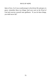labor of love. So if you would prosper in the divine life and grow in grace, remember these two things; feed your soul on the Word of God and exercise yourself unto godliness. 'If you do these things, you shall never fall.'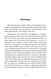## **Blessings**

Blessing in the sense in which I wish to use it signifies the favor, kindness, and goodness of God to his people; all good things, gifts, graces, and privileges, that God bestows. These blessings may be either spiritual (Eph. l:3) or temporal. Deut. 28:2.

Blessings may refer to this life, to the judgment, or to eternity; but the blessings of which I now wish to speak are those received in this life. We hear a great deal said about blessings, but there are many people who do not know what a blessing is, or what is a blessing to them or what is a curse to them. Many people spend much time in praying for a blessing, and then when the blessing comes, they absolutely refuse to have it, not because they do not want a blessing, but because they do not know that it is a blessing. A blessing is anything that will do us good, whether it produces good feelings or not. To a great many people the word "blessings" means nothing more than a superficial emotion. It certainly is a blessing to feel happy, but the sorrows and the trials of life are needed to teach us the value of bliss. We can understand the greatness of our bliss only by contrasting it with our sorrow. If we had never seen a cloudy day, we could not so well appreciate the sunshine. Those who have never been ill do not know so well how to appreciate health. Were it not for the shades of night we could not rightly appreciate the day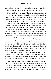dawn and the sunrise. When weeping has endured for a night, it maketh the joy that cometh in the morning seem seven-fold.

If we would know who is truly blessed, let us inquire who is the man that God counts blessed. "Blessed is every one that feareth the Lord; that walketh in his ways." Psa. 128:1. "And he opened his mouth, and taught them, saying, Blessed are the poor in spirit: for theirs is the kingdom of heaven. Blessed are they that mourn: for they shall be comforted. Blessed are the meek: for they shall inherit the earth. Blessed are they which do hunger and thirst after righteousness: for they shall be filled. Blessed are the merciful: for they shall obtain mercy. Blessed are the pure in heart: for they shall see God. Blessed are the peacemakers: for they shall be called the children of God. Blessed are they which are persecuted for righteousness' sake: for theirs is the kingdom of heaven. Blessed are ye, when men shall revile you, and persecute you, and shall say all manner of evil against you falsely, for my sake. Rejoice, and be exceeding glad: for great is your reward in heaven: for so persecuted they the prophets which were before you." Matt. 5:2-12. "But whoso looketh into the perfect law of liberty, and continueth therein he being not a forgetful hearer, but a doer of the work, this man shall be blessed in his deed." Jas. 1:25. "And blessed is she that believed: for there shall be a performance of those things which were told her from the Lord." Luke 1:45. "Blessed is the man that endureth temptation: for when he is tried, he shall receive the crown of life, which the Lord hath promised to them that love him." Jas. 1:12.

Who knows better than the Lord what is a blessing to the soul of man? Do you not see that in the enumeration of things which he has said make people blessed he has not once mentioned what you have often thought were the greatest blessings? Has he not enumerated those things which you have considered calamities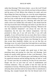rather than blessings? Who knows better—you or the Lord? Would you have a blessing? Then, trust with all your heart in the providence and the power of God. Believe that whatever he sends, and even those things that Satan may bring, yea, even the sorest temptations, will prove a blessing; for "all things work together for good to them that love God, to them that are the called according to his purpose." Rom. 8:28. Some people pray for a blessing, then when the Lord sends a trial to see whether they will endure it, they shrink from the first step toward the land of blessings and refuse to put their feet on the very stepping-stone that would bring a blessing. "Blessed is the man that endureth temptation"—not always the man who has temptations, but the man who endures temptations. God has promised to bless you if you will serve him, if you will walk uprightly, if you will trust him; but you must allow him to choose the road to the blessing. You must learn to let Him who knows better than you do what a blessing is choose your blessings for you, and then accept them thankfully whether you can see that they are blessings or not. It is said of Jacob that God made him to suck honey out of the rock: so if the Lord leads you to a rock, you must not doubt him and say there is no honey in it.

There is a class of people who spend most of their time preaching about and praying for what they call blessings. Such people are usually totally ignorant of what a real blessing is. They are often void of the real Christian grace and feeding on and living for superficial emotions and the feelings that they are able to "work up." In most cases they are worked up, for they do not come down. People who live on such food are void of establishment and Christian endurance. They are unable to bear the trials and the temptations of one day. While they pray for what they call a blessing and jump about and shout and try by human effort to manufacture a blessing, they trample beneath their feet the blessed truth of the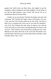gospel, that which alone can bless them, and neglect to get the strength to endure temptation and walk uprightly. Let the shouts of joy and the glad emotions come if they will, but do not try to manufacture them by human effort.

Finally, let me say that the Christian life begins and ends with a blessing. The Christian life begins where God forgives our sins. "Unto you first God, having raised up his Son Jesus, sent him to bless you, in turning away every one of you from his iniquities." Acts 3:26. The Christian life ends when we depart to be with the Lord, and in this we receive the crowning blessing, the climax of all our joys. "And I heard a voice from heaven saying unto me, write, Blessed are the dead which die in the Lord from henceforth: Yea, saith the Spirit, that they may rest from their labors; and their works do follow them." Rev. 14:13.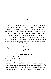## **Trials**

The word "trial" is from the word "try," and means a proving or testing in any manner. "Specifically, any effort or exertion of strength for the purpose of ascertaining what can be done or effected. The act of testing by experience, proving, testing. Examination by test, experience, etc. The state of being tried or tempted; exposure to suffering, to test strength, patience, faith, and the like. Affliction that proves the graces and virtues of men. To beautify or refine as metals. To melt and retain in a pure state as tallow, lard, or oil. To purify or refine, as metals; to melt out and produce in a pure state, as oil, tallow, lard, etc. To prove by experiment; to apply a test to, for the purpose of determining the quality; to examine; to prove; to test; as, to try weights or measures by a standard; to try a man's opinions."

### **Source of Trials**

Trials and temptations are often confounded. Trials may come either from the Lord or from Satan. Satan tries us to see whether he can find in us any weakness, to reduce our strength, to overcome and destroy us. The Lord tries us in order to inure us to hardship and thereby strengthen us so that when Satan tries us, we shall be able to overcome. In the same way soldiers are tried, tested, and inured to hardship, in the routine of military discipline, so that when the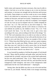battle comes and exposure becomes necessary, they may be able to endure. God tries us to see how strong we are, to test our decision and trueness, to increase our strength and our decision and increase our loyalty. Satan tempts us to see how weak we are, to see whether there is any indecision or untrueness in us; to decrease our strength weaken our decision, and spoil our loyalty. Temptations never come from the Lord. ''Let no man say when he is tempted, I am tempted of God: for God can not be tempted with evil, neither tempteth he any man." Jas. 1:13. The Lord tries us, but never tempts us. "The Lord is in his holy temple, and the Lord's throne is in heaven: his eyes behold, his eyelids try, the children of men." Psa. 11:4. "I the Lord search the heart, I try the reins even to give every man according to his ways, and according to the fruit of his doings." Jer. 17:10. The Lord sometimes tries us in order to see what we will do; in order to prove the submission of our wills and the decision of our hearts to serve and obey him. We have an example of this in John 6:5, 6. "When Jesus then lifted up his eyes, and saw a great company come unto him, he saith unto Philip, Whence shall we buy bread, that these may eat? And this he said to prove him: for he himself knew what he would do." *Authorized Version*. "And this he said, to try him; for he knew what he was about to do."—*Syriac.*

It was foretold by prophets of old that the people of God should be tried. "Many shall be purified, and made white, and tried; but the wicked shall do wickedly: and none of the wicked shall understand; but the wise shall understand." Dan. 12:10. "Many must be tested, and thoroughly whitened, and tried with fire, and sanctified; but the transgressors shall transgress: and none of the transgressors shall understand; but the wise shall understand."—*Septuagint*.

Seeing, then, that the Bible says that we are to be tried and that God tries us, you should, "beloved, think it not strange concerning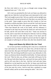the fiery trial which is to try you, as though some strange thing happened unto you." 1 Pet. 4:12.

Job's trial was permitted by the Lord, yet Satan was allowed to apply the test. Both the Lord and Satan were interested in Job's trial The Lord sought to prove that 'Job was a perfect and an upright man, one that feared God and eschewed evil; that there was none like him in the earth.' Satan sought to prove that Job's loyalty to God was founded on selfish principles; that he served the Lord only because the Lord had blessed him with temporal prosperity. Said Satan, "Thou hast blessed the work of his hands, and his substance is increased in the land; but put forth thy hand now and touch all that he hath, and he will curse thee to thy face." Satan was anxious to test Job, and to cause him to be disloyal to Jehovah. God was willing to have Job tested in order that the loyalty of his heart and the uprightness of his character might be proved and that he might set an example of suffering for all those who after him should be tried.

#### **Ways and Means By Which We Are Tried**

As we have just been considering Job's trial, let us consider the ways and means by which he was tried. First, all that he had was taken from him. But upon Job himself God allowed not Satan to put his hand. This test being insufficient to prove any disloyalty in Job, Satan was desirous that he should be tried further. So Satan said unto the Lord, "Skin for skin, yea, all that a man hath will he give for his life. But put forth thine hand now, and touch his bone and his flesh, and he will curse thee to thy face. And the Lord said unto Satan, Behold he is in thy hand but save his life. So Satan went forth from the presence of the Lord, and smote Job with sore boils from the sole of his foot unto his crown. And he took him a potsherd to scrape himself withal; and he sat down among the ashes." Job 2:4-8.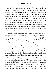Job still having some comfort in his wife, who seemingly was spared that his trial might be perfected, Satan turned her against her husband. "Then said his wife unto him, Dost thou still retain thine integrity? curse God, and die." Job 2:9. This was doubtless the severest point in Job's test. Trials press harder when they come from those whom we love. It seems that Satan spared Job's wife on purpose to have her speak these discouraging words to him in the hour of his sorest trial, Satan thinking by this extreme means to overcome him; but Job "said unto her, Thou speakest as one of the foolish women speaketh. What? shall we receive good at the hand of God, and shall we not receive evil? In all this did not Job sin with his lips." Job 2:10.

The next attack of Satan was to send Job's three friends, who were philosophers, to reason him out of his integrity. At first, by their weeping and mourning, they succeeded in discouraging Job a little; but when they attempted to go further and take from him his integrity, Job turned against them and Satan's plans were defeated.

After Satan had utterly failed to overthrow Job, Jehovah sent Elihu, a man anointed and inspired with wisdom, and through him was able to show Job how to make some improvements, and to bring him to a place where the Lord could speak to him. When Job recognized the voice of God, he humbled himself in sackcloth and ashes, and he came out of the trial stronger than he entered it.

If you wish to rightly understand the book of Job and to study in detail the different stages of Job's trial, make the following divisions of the book: First, Job untried. Chap. 1:1-12. Second, beginning of Job's trial. Chap. 1:13-22 and chap. 2. Third, Job's lamentation. Chap. 3. Fourth, Job's comforters(?). Chaps. 3-32. Fifth, God's message through Elihu. Chaps. 32-37. Sixth, God

81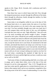speaks to Job. Chaps. 38-41. Seventh, Job's confession and God's blessing. Chap. 42.

Note these four ways in which Satan tried Job: First, through his temporal possessions; second, through the affliction of his body; third, through his affections; fourth, through the intellect, by false reasoning and philosophy.

Satan today is not altogether unlike he was in the days of Job; the human heart also is, to a great extent, the same as it was then; and God often permits us to be tried in the same manner that Job was tried. You have probably thought your trials very hard; but if you will compare them with the trials of Job, you will doubtless conclude that your trials are only "light afflictions" 'that will work out a far more exceeding and eternal weight of glory.' Imagine yourself in Job's place. Should all your earthly possessions be taken from you; should your body be afflicted with painful boils from the crown of your head to the soles of your feet; should all your loved ones, except the nearest one to your heart, be summoned to the land of death, and should that dearest one tempt you in the hour of your sorest trial and discouragement to curse God and die; should Satan, sectarian sophists, and philosophers point to your utter downfall and reason with you of your wrong in taking your stand as you have for the Lord alone—considering the standard of light that he was responsible to live up to and the light that you have, would you come out as well as Job did?

"And some of them of understanding shall fall, to try them, and to purge, and to make them white, even to the time of the end: because it is yet for a time appointed." Dan. 11:35. Though this text may have some specific application to a certain historical event, yet history often repeats itself, and we are sometimes compelled to face the trying scene of the fall of some of understanding. It is one of the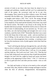#### RAYS OF HOPE

severest of trials to see those who have been far ahead of us in strength and usefulness, stumble and fall; yet if we understand the truth of the matter, the occurrence need not be in any wise discouraging. There cannot be an effect without a cause. We should remember that the Bible says, "Pride goeth before destruction, and an haughty spirit before a fall." Prov. 16:18. The strong, through pride of heart, may fall before the tempter's power; while the weak, in the simplicity of his mind and the humility of his heart, may stand the fiercest storms. The battle is not always to the strong, but the humble shall always prosper. Should the trial be yours to witness the fall of some of understanding, do not unwisely say, "If such a one has fallen, one who had knowledge and strength, how can I, in my weakness, stand the trials of life?" Remember that there was a cause for his fall. Keep clear of that cause—pride—and you need have no fear of falling. Let the sad fate of those who have made shipwreck be to you, not a discouragement, but a warning—a warning to steer far from the treacherous rocks of pride against which their bark has crashed.

"And I will bring the third part through the fire, and will refine them as silver is refined, and will try them as gold is tried: they shall call on my name and I will hear them: I will say, It is my people: and they shall say, The Lord is my God." Zech. 13:9. "That the trial of your faith, being much more precious than of gold that perisheth, though it be tried with fire, might be found unto praise and honor and glory at the appearing of Jesus Christ." 1 Pet. 1:7. God tries us as men try gold and silver and other precious metals—tries us with fire.

Our faith and loyalty to God are to be tested as silver and gold are tested. Why, then, should we think it strange and begin to murmur when the fires of adversity, disappointment, discouragement,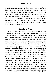temptation, and affliction are kindled? Let us not, my brother or sister, murmur at the trials; for they will only make us stronger and prove to God, to the world, and to Satan that our experience is genuine; that our loyalty to God is not a vain one; that our hearts are fixed, that our trueness is immovable. There is a day coming in which every man's work shall receive the final test and that by fire. "Every man's work shall be made manifest: for the day shall declare it, because it shall be revealed by fire; and the fire shall try every man's work of what sort it is." 1 Cor. 3:13.

### **Benefits of Trials**

To some it may seem impossible that any good should come from trials, but to those of more mature experience it is a wellknown fact that trials are the gateway to higher and brighter grounds in the Christian experience. Every person who has come to a strong and settled experience of salvation will acknowledge that trails have been one of the most effective means of exercising their strength and of settling their spiritual experience. As we have before observed, trials are the stepping-stones by which we ascend to higher usefulness. Untried soldiers are never put in responsible positions. In fact, in any vocation or business whatever, only those who have stood the trials and the tests that come to the ordinary man are placed in the more responsible positions. Trials are the hardships which, if patiently endured will make you a good soldier of Jesus Christ. If time, space, and knowledge would permit me to mention every man in every stage of life that has become useful, I could point out each one's trials as the most powerful agents in raising him to his place of usefulness. Those who refuse to be tried can never expect to be great either in the eyes of man or in the eyes of God. Never murmur at your trials, never shrink from a test; for they are angels in disguise. To enumerate every benefit that one can obtain, and every degree of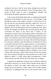usefulness that one is able to reach alone through tests and trials would occupy much time and space. Every Christian grace, every faculty of body, mind, or soul, is strengthened, fortified and increased by the patient endurance of hardship.

In the twenty-third Psalm David draws a striking and beautiful illustration of the benefits of trials. He says, "Yea, though I walk through the valley of the shadow of death, I will fear no evil: for thou art with me; thy rod and thy staff they comfort me." Psa. 23:4. This interesting Psalm is taken from David's experience as a shepherd. By not considering the natural circumstances from which he drew the thoughts contained in the verse just quoted, many have overlooked one phase of the lesson that it teaches. In the mountainous country where David kept his father's sheep there were probably open valleys of tender grass affording good pasture for the sheep. It is well known that a flock of sheep feeding long in the same pasture, unless the pasture be very large, will soon kill out the grass. It is necessary, therefore, after the sheep have remained a few days in one place that they be led to a green pasture, or as the margin of Psa. 23:2 reads, to "pastures of tender grass." In order to get to new pastures he was doubtless often obliged to lead his sheep through narrow valleys and over dangerous places. Probably it was in some of these dark and narrow valleys where David slew the lion and the bear. How natural in the figure to call such places the "valley of the shadow of death"—a valley where death overshadowed; a valley where both his own life and the life of his sheep were in danger.

In general, the application of these texts is confined to physical death alone. However, it is not the valley of death, but the valley of the shadow of death—the valley where death casts his darkest shadow across our pathway; a valley where our life, either spiritual or physical, is endangered. But even in the severest trials, in the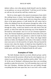darkest valleys, even when gloomy death himself casts his shadow on our pathway, we can say with David, "I will fear no evil: for thou art with me; thy rod and thy staff they comfort me."

But let us return again to the natural circumstances from which this striking lesson is drawn. Just beyond these dangerous valleys lay the open pastures of tender grass, and every sheep that would lie down in the green pastures or walk beside the still waters had to follow the shepherd from the old pastures through the valley of the shadow of death. The sheep that remained behind, refusing to pass through the valley, would soon famish on the stale food of the old pasture, or when from under the protecting care of the shepherd, be devoured by wild animals. Just so it is in our Christian experience. Jesus, like Oriental shepherds, goes before his flock (John 10:4), and all who would enjoy the rich pastures to which he leads his flock must follow through the valleys—trials. Those who linger behind and fear to follow the Shepherd in the valley of the shadow of death must soon starve or be devoured by evil spirits. But just beyond the severest trial, when the shadow of death has been dispelled by the sunlight of faith, we enter the fields of living green, the pastures of tender grass, and follow the Shepherd beside the still waters.

### **Examples of Trials**

"By faith Abraham when he was tried, offered up Isaac: and he that had received the promises offered up his only begotten son, of whom it was said, That in Isaac shall thy seed be called." Heb. 11:17, 18. In the case of Abraham's offering up Isaac there was everything possible to make the trial severe. You will remember that is was God that tried Abraham. Abraham had been true and faithful through everything that had come upon him, but it was God's will to make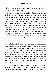of him, by testing him to the uttermost, an immortal example to all who should afterwards believe.

It was hard enough to be required to offer his loving and only child, to slay him with his own hand, and there alone on the mountain behold the death of his loved one and afterwards burn his remains with fire; but this was not all nor the severest aspect of the trial. God had made a solemn covenant with Abraham, in which he had promised that Abraham's seed should be "as the stars of the heavens for multitude, and as the sand which is by the seashore innumerable," and Isaac was his only son and the only hope for the fulfilment of that promise, for God had said, "In Isaac shall thy seed be called." Now see the bewilderment into which Abraham was cast. Looking at it from the viewpoint of natural circumstances, Abraham, it would seem, could have perceived no way for God to be true to his promise; therefore the temptation would naturally have risen to spare his son, because if God were untrue, he was unworthy of so dear a sacrifice. To refuse to obey the Lord meant to lose all that God had promised him, for the promise was on conditions, and to slay his son, viewing it naturally, meant no less, for both he and his wife were past the age of child-bearing and Isaac was the only son and the only source through which God could fulfill his promise. Under such circumstances, what do you think you should have done? Compare this with some of the trials you have and see how great your trials are. Abraham believed God, "accounting that God was able to raise him (Isaac) up even from the dead; from whence also he received him in a figure," and Abraham was called ''the friend of God."

By careful study of the experience of David we can learn more about the enduring of trials. Take first his experience in the slaying of Goliath. When Saul called David's attention to his tender years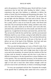and to the greatness of the Philistine giant, David told him of some experiences that he had had while herding his father's sheep experiences that gave him boldness to undertake to deliver the armies of Israel from the boasting and threatening alien giant. "Let no man's heart fail because of him," said David; "thy servant will go and fight with this Philistine. And Saul said to David, Thou art not able to go against this Philistine to fight with him: for thou art but a youth, and he a man of war from his youth. And David said unto Saul, Thy servant kept his father's sheep, and there came a lion, and a bear, and took a lamb out of the flock: and I went after him, and smote him, and delivered it out of his mouth: and when he arose against me, I caught him by his beard, and smote him, and slew him. Thy servant slew both the lion and the bear: and this uncircumcised Philistine shall be as one of them, seeing he hath defied the armies of the living God. David said moreover, The Lord that delivered me out of the paw of the lion and out of the paw of the bear, he will deliver me out of the hand of this Philistine. And Saul said unto David, Go, and the Lord be with thee." 1 Sam. 17:32-37.

This was only the beginning, as it were, of David's trials. Even after he had been anointed king over Israel, he was compelled to flee before the face of angry Saul, and to lodge many days in dens and caves and in the mountains, far remote from the comforts of life; but in these trials he learned to endure and also how to pity those in difficult circumstances. He also learned how to show kindness even to his enemies. This was especially necessary, for his enemies were many. The trials which he endured also helped to humble him in the sight of God and to teach him when human strength could not prevail to trust in the Lord Jehovah, in whom is everlasting strength.

To every one acquainted with the New Testament the example of the apostle Paul in suffering trials cannot fail to be a source of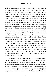continual encouragement. Hear his description of the trials he suffered and see with what contempt and utter disregard he looked upon them—"But in all things approving ourselves as the ministers of God, in much patience, in afflictions, in necessities, in distresses, in stripes, in imprisonments, in tumults, in labors, in watchings, in fastings: by pureness, by knowledge, by long-suffering, by kindness, by the Holy Ghost, by love unfeigned, by the word of truth, by the power of God by the armor of righteousness on the right hand and on the left, by honor and dishonor, by evil report and good report: as deceivers, and yet true; as unknown and yet well known; as dying, and, behold, we live; as chastened, and not killed; as sorrowful yet always rejoicing; as poor, yet making many rich; as having nothing, and yet possessing all things." 2 Cor. 6:4-10. "Who shall separate us from the love of Christ? Shall tribulation, or distress, or persecution, or famine, or nakedness or peril, or sword? As it is written, For thy sake we are killed all the day long; we are accounted as sheep for the slaughter. Nay, in all these things we are more than conquerors through him that loved us. For I am persuaded, that neither death nor life, nor angels, nor principalities, nor powers, nor things present, nor things to come, nor height, nor depth, nor any other creature, shall be able to separate us from the love of God, which is in Christ Jesus our Lord." Rom. 8:35-39. "For our light affliction, which is but for a moment, worketh for us a far more exceeding and eternal weight of glory." 2 Cor. 4:17.

After passing through distresses and trials, the apostle Paul, through the abundant grace given unto him, was able to regard them all as "light afflictions." If after considering all that Paul suffered the instances here mentioned being only a few of those recorded in the New Testament—you consider his trials light afflictions, are your trials enough greater than his to justify you in calling them hard, severe, unbearable? Most people think their trials harder than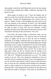other people's, and this in itself blinds their eyes to the very weapon by which Satan is quickly put to flight—endurance, and faith in the justice of God.

Often people are heard to say, "I have the hardest time of anyone on earth. If you had the trials that I have, you could not live right either. Trouble and disappointment have always been my portion." Reader, if these or like thoughts have been yours, let me call your attention to the testimony of David. You will probably acknowledge that his trials as a shepherd, as a soldier, and as a king are quite as great as yours; then hear his testimony—"Surely goodness and mercy have followed me all the days of my life: and I will dwell in the house of the Lord forever." Psa. 23:6.

Even Jesus, the perfect Author of salvation's plan, was not without trials and temptations. "For verily he took not on him the nature of angels, but he took on him the seed of Abraham. Wherefore in all things it behooved him to be made like unto his brethren, that he might be a merciful and faithful high priest in things pertaining to God, to make reconciliation for the sins of the people. For in that he himself hath suffered being tempted, he is able to succor them that are tempted." Heb. 2:16-18. "For we have not an high priest which can not be touched with the feeling of our infirmities; but was in all points tempted like as we are, yet without sin." Heb. 4:15. "Tempted in all points like as we are." Yes, reader, exactly as you are. Then, into whatsoever temptation or trial you may fall, stop for a moment and think; "Jesus was tempted just as I am. He was tried in the manner in which I am now tried. He knows how to succor me. He is touched with the feeling of my infirmities, and he is able to help me, for all power in heaven and in earth is given unto him." Jesus has gone the way before you, has taken every step from the cradle to the grave. Every thorn in the pathway of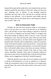human life has pierced his tender feet; every heartache that you have endured touched his heart before it did yours. When you have any pain, suffering, trial, or distress, or any hardship whatever, remember that Jesus had it first, and that he is touched with the feeling of your infirmity. "Let us therefore come boldly unto the throne of grace, that we may obtain mercy, and find grace to help in time of need." Heb. 4:16.

## **How to Overcome Trials**

Probably the first and most necessary thing in overcoming a trial is to be sure that it is a trial; to be sure that we are abiding in God's will and that we have done nothing to separate us from the love of God or to displease our heavenly Father; to recognize that the present trouble of whatever nature it may be, is just a trial and nothing but a trial. The trials that hurt, those which are most likely to deceive and overcome us, are those which come disguised in the beautiful robe of Reality and accompanied by a spirit of accusation. Trials of this kind invariably come from the devil—I mean the kind accompanied by accusation and temptation. A well-armed Christian, like a well-armed soldier, knows more than one means of defense. Some trials must be sternly resisted in the name of Jesus, must receive immediate attention. Some must be patiently endured in order that we may receive the benefit that is to be derived from them. Others, such as suggestions of the devil, should be ignored.

Often the quickest way to get rid of an accusation of the devil is utterly to discountenance it, to pay no attention to it whatever. Under all circumstances and in every trial there is no weapon more powerful than "the sword of the Spirit which is the word of God." Eph. 6:17.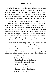#### RAYS OF HOPE

Another thing that will often help us to endure or overcome our trials is to recognize that trials are for our good, that sometimes they "need be." When we can realize that a trial is for our good, that there is in it some lesson we need to learn, the trial is much more easily borne and the victory more easily gained. A man does not mind his toil nearly so much if he knows that he is to receive good wages.

It is said of Jacob that the Lord made him to suck honey out of the rock and oil out of the flinty rock. Deut. 32:13. The primary application of this text, of course, refers to the temporal prosperity of the Israelites, but the thought of sucking honey out of the rock beautifully illustrates the benefits of trials. Honey from the rock is as sweet as honey from the hive; so if in your Christian experience the Lord should lead you to some rock like trial remember that in the rock there is sweet honey for you if you will only patiently endure. Knowing that there is good in a hardship is certainly a wonderful stimulus, a powerful impetus to its endurance.

Another help in overcoming a trial is to consider that it is nothing uncommon. Remember that all the holy prophets, the priests, the apostles, and even Christ himself, were tried. Are you better than they? Do you deserve more favors? When a trial overtakes you and Satan tries to make you think it something strange and peculiar and uncommon, sing a verse of the old familiar hymn:

> "Must I be carried to the skies On flowery beds of ease, While others fought to win the prize And sailed through bloody seas.

"No, I must fight if I would reign; Increase my courage, Lord; I'll bear the cross, endure the pain, Supported by thy Word."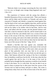"Beloved, think it not strange concerning the fiery trial which is to try you, as though some strange thing happened unto you:" 1 Pet. 4:12.

The experience of Samson with the young lion affords a beautiful illustration of how to overcome trials. "Then went Samson down, and his father and his mother, to Timnath, and came to the vineyard of Timnath: and, behold, a young lion roared against him. And the Spirit of the Lord came mightily upon him, and he rent him as he would have rent a kid, and he had nothing in his hand: but he told not his father or his mother what he had done. And he went down, and talked with the woman; and she pleased Samson well. And after a time he returned to take her, and he turned aside to see the carcase of the lion: and, behold, there was a swarm of bees and honey in the carcase of the lion. And he took thereof in his hands, and went on eating, and came to his father and mother, and he gave them, and they did eat: but he told not them that he had taken the honey out of the carcase of the lion." Judg. 14:5-9.

Should a lion-like trial roar against you, remember the experience of Samson, lay hold upon it in the name of the Lord and rend it as you would a kid; then in after-years when you pass the place of that particular trial, you may find in its carcass an abundance of honey, of which you may freely eat and also give to others. Had Samson allowed the roaring of the lion to intimidate him, he doubtless would have lost his life. At the time when the lion roared against him and he slew it in the name of the Lord, he probably had no thought that this experience would be of any benefit to him in the future. So it is with trials. We may be able to see no good in them at present but in after-years from the carcass of the severest trial we shall eat honey and give to others. The writer is eating honey today from one of the severest trials of his life; and if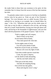the reader finds in these lines any sweetness to his spirit, let him remember that it is honey from the carcass of the lion that someone has slain.

To patiently endure trials is to prove to God that we thankfully receive what he has given us. Trials are part of the Christian's heritage. "For even hereunto were ye called: because Christ also suffered for us, leaving us an example, that ye should follow his steps." 1 Pet. 2:21. "Wherefore take unto you the whole armor of God, that ye may be able to withstand in the evil day, and having done all, to stand. Stand therefore, having your loins girt about with truth, and having on the breastplate of righteousness; and your feet shod with the preparation of the gospel of peace." Eph. 6:13-16.

> "Faith is mighty and will conquer, Bind it firmly on thy heart; On the hottest field of battle, Thou shalt quench the vilest dart.

"In the mighty name of Jesus Ever lift up the shield of faith; Wield the sword of truth, my brother, Heaven will crown thy fight of faith.

"And when trouble-specters round thee Come, thy spirit to depress,

Lift the shield of faith abounding, And thy soul shall calmly rest.

"Then put on the holy armor, And defy the tempting throng; Over all the foes that gather, Shout and sing the victor's song."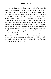#### RAYS OF HOPE

"Now no chastening for the present seemeth to be joyous, but grievous: nevertheless afterward it yieldeth the peaceful fruits of righteousness unto them that are exercised thereby. Wherefore lift up the hands which hang down, and the feeble knees." Heb. 12:11, 12. "Above all, taking the shield of faith," for by faith we are begotten unto a lively hope and preserved "to an inheritance incorruptible, and undefiled, and that fadeth not away, reserved in heaven for you, who are kept by the power of God through faith unto salvation ready to be revealed in the last time. Wherein we greatly rejoice, though now for a season if need be, ye are in heaviness through manifold temptations: that the trial of your faith, being much more precious than of gold that perisheth, though it be tried with fire, might be found unto praise and honor and glory at the appearing of Jesus Christ: whom having not seen, ye love; in whom, though now we see him not, yet believing, ye rejoice with joy unspeakable and full of glory: receiving the end of your faith even the salvation of your souls." 1 Pet. 1:4-9.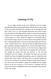## **Learning To Fly**

"As an eagle stirreth up her nest, fluttereth over her young, spreadeth abroad her wings, taketh them, beareth them on her wings: so the Lord alone did lead him, and there was no strange god with him." Deut. 32:11-12. The beautiful illustration here cited is taken from the habits of the eagle and the manner in which she teaches her young to fly. The eagle often builds her nest on the rocky edge of some precipice or canon. When her eaglets are of sufficient age to exercise their wings, she does not leave them to the ignoble ease that they would perhaps prefer. No; she would teach them self-reliance, so she "stirreth up her nest." She stirs it until an eaglet falls out and goes tumbling, dashing, flopping down toward the depths below. She does not leave him, however, to the fate that he might think would shortly be his, to dash his life out against the rocks below; for, though the young one does not perceive it, the old bird "fluttereth over her young," and before the little one has done himself any harm, she glides beneath him, and she 'taketh him and beareth him on her wings.' She bears him to a greater height than the nest from which he was stirred. When he feels himself quite at ease and at rest on his mother's wings, by a sudden turn he is again thrown on his own resources. This exercise is repeated until his muscles have been strengthened and he has learned to bear himself on his own wings.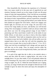#### RAYS OF HOPE

How beautifully this illustrates the experience of a Christian! How very many would sit in the easy nest of superficial joy and emotion, fearing to launch out on the wings of faith over the great chasm of trials and responsibilities, if the Lord did not occasionally stir his nest! When you feel yourself sinking, sinking, down through the chasm of trials, responsibilities, and new experiences, remember that God hovers over his young and that before your tender life has been dashed out against the rocks below, which now engage your fearful sight, he will bear you on his wings. Do your best to fly, exercise the wings (faith) you have, and thereby you will become strong. How encouraging it would be could you always realize that just above you were the strong paternal wings of your Father's protecting care! How much better would it be in the midst of your feeble efforts, to look above you than to look at the dizzy depths below. Remember "there hath no temptation taken you but such as is common to man: but God is faithful, who will not suffer you to be tempted above that ye are able; but will with the temptation also make a way to escape, that ye may be able to bear it." 1 Cor. 10:13. When your trial has accomplished God's design and your good, he will bear you on his wings. Thus, by proper exercise under the direction and the care of your loving heavenly Father, your faith will grow exceedingly.

It is said of the eagle that she is able to rise entirely above a storm and that while the storm is raging below, she soars in the sunlight above. So you, dear reader, if you will patiently endure the trials of learning to fly, may renew your strength and mount up with wings as eagles. Isa. 40: 31. While the storm beneath you is raging, you may, on wings of faith and in the strength of Jehovah soar in the sunlight of grace far above the storm and enjoy the atmosphere of heaven.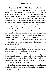## **Promises to Those Who Overcome Trials**

"Behold, happy is the man whom God correcteth: therefore despise not thou the chastening of the Almighty: for he maketh sore, and bindeth up: he woundeth, and his hands make whole. He shall deliver thee in six troubles: yea, in seven there shall no evil touch thee. In famine he shall redeem thee from death: and in war from the power of the sword. Thou shalt be hid from the scourge of the tongue: neither shalt thou be afraid of destruction when it cometh. At destruction and famine thou shalt laugh: neither shalt thou be afraid of the beasts of the earth. For thou shalt be in league with the stones of the field: and the beasts of the field shall be at peace with thee. And thou shalt know that thy tabernacle shall be in peace; and thou shalt visit thy habitation, and shalt not sin. Thou shalt know also that thy seed shall be great, and thine offspring as the grass of the earth. Thou shalt come to thy grave in a full age like as a shock of corn cometh in in his season. Lo this, we have searched it so it is; hear it, and know thou it for thy good." Job 5:17-27.

"But he knoweth the way that I take: when he hath tried me, I shall come forth as gold." Job 23:10.

"My son, despise not the chastening of the Lord; neither be weary of his correction: for whom the Lord loveth he correcteth; even as a father the son in whom he delighteth." Prov. 3:11, 12.

"Him that overcometh will I make a pillar in the temple of my God, and he shall go no more out: and I will write upon him the name of my God, and the name of the city of my God, which is New Jerusalem, which cometh down out of heaven from my God: and I will write upon him my new name." Rev. 3:12.

"Blessed is the man that endureth temptations: for when he is tried, he shall receive the crown of life, which the Lord hath promised to them that love him." Jas. 1:12.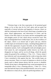# **Hope**

"Christian hope is the firm expectation of all promised good things, so far as they may be for God's glory and our good, but especially of eternal salvation and happiness in heaven, where we shall be conformed to the Son of God; which hope is founded on the grace, blood righteousness, and intercession of Christ, and the earnest of the Holy Spirit in our hearts and the unchangeable truth and almighty power of God, which always second his word. This hope is distinguished from worldly hopes, first, by the excellency of the object, which is an eternal state of glory and joy; whereas worldly hopes are terminated on empty, vanishing things gilded over with the thin appearance of good. Secondly, by the stability of its foundation namely, God's unchangeable truth and almighty power. God cannot lie, and consequently neither deceive our faith, nor disappoint our hopes; and he can do all things, which the apostle makes the ground of his confidence. 2 Tim. 1:12—'I know whom I have believed, and I am persuaded that he is able to keep that which I have committed to him against that day.' But worldly hopes are always uncertain. There is so much of impotence or deceit in all the means used to obtain human desires that the success is doubtful. Thirdly divine hope is distinguished from carnal presumption by its inseparable effect; it has a cleansing efficacy. 1 John 3:2—'Every man that hath this hope in him purifieth himself, even as he is pure.' He endeavors to shun all sin, and to be perfecting holiness. He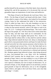purifies himself by the assistance of the Holy Spirit, from whom the spiritual life, and all the operations of it, do proceed. But vain and groundless hopes are inspirations of wind, loose and ineffective.

"The Hope of Israel is the Messiah, the Lord Jesus Christ. Acts 28:20—'For the Hope of Israel I am bound with this chain.' Christ is also called in respect of the fathers, who looked for his promised coming. Some by this understand the belief of the resurrection. Christ is called our hope, that is, the only foundation we have to build our hope of heaven or any good thing, upon. 1 Tim. 1:1. Hope is taken for that eternal salvation, which is the object or end of our hope. Tit. 2:13—'Looking for that blessed hope.' The Lord is called the hope of his people. Jer. 14:8. He is that God in whom alone they hope for help, and their hope shall not be confounded. On the contrary, the hope of the ungodly shall perish. Prov. 10:28; 11:7. Then hope shall be without effect: or they shall live and die without hope. Hope deferred maketh the heart sick: delays in obtaining that good which a man passionately desires and hopes for make the heart sad and sorrowful; but when anyone possesses what he desires, his soul is comforted and revived. Prov. 13:12. My flesh shall rest in hope. Psa. 16:9. My body shall quietly and sweetly rest in the grave in confident assurance of its resurrection to a blessed and immortal life. Abraham against hope believed in hope, when being advanced in years, God promised him a son. Rom. 4:18. He confidently believed God's promise that he should have a son, against all grounds of hope, when it was most unlikely in a way of nature and reason. The prisoners of hope (Zech. 9:12) are the Israelites, who were captives in Babylon, but were in hopes of deliverance. Or, ye prisoners of hope, ye who, though captives to sin and Satan, yet have good grounds to hope for deliverance, turn ye to the stronghold, repent, believe, and apply to the Lord Jesus Christ, your only help and refuge."*—Cruden*.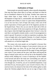## **Cultivation of Hope**

Some people are naturally hopeful, others naturally despondent. One man sees hope where there is no hope, and hopes on when he has no foundation whatever for his hope. Another man cannot see hope where there is hope. While it is true that an abnormal development of hope that is, unreasonable and unfounded hope, is undesirable and is likely to cause us a great many disappointments, it is no less true that a lack of hope robs many a dear soul of the joyful expectation of future good and of the happiness peculiar to the hopeful heart. Those who can see only the dark side of life are certainly to be pitied. In the most auspicious of all ages, the glorious day of grace when the bright hope gleams from Calvary's cross, the soul that is not hopeful certainly needs a word of encouragement to point it upward. No picture is so dark no experience so gloomy, that it has no bright side to the hopeful Christian. It is Satan's business to show you the dark side of everything; it is your business, if you will attend to it, to find the bright side.

The reason why most people are not hopeful is because they look too low. If within the compass of your present vision you can see no light, hope, nor cheer, lift up your head and look higher; continue to go forward and upward till the angel of hope shall greet your vision. If you cannot see her near, look above and beyond the stage of natural action and you will see her at the threshold of that eternal world, holding out a crown of rejoicing to all the faithful. Look forward and above the trials now surrounding you until you see the hope gleam from above; fix your eyes upon it and rejoice, even though now, if need be, you are in manifold temptations. Leap and shout for joy, because great is your reward in heaven. But, we need not look so far ahead; for the trials of life seldom gather so dark about the Christian pilgrim that he can see no sign of hope in this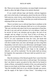life. There are too many rich promises, too many bright victories just ahead, to allow the light of hope to be entirely obscured.

If you would cultivate hope and thereby cultivate happiness give vent to the faculty of anticipation; pluck from the tree of life by faith some joy, some victory, some freedom, that you have unwisely supposed was not for you. Do not feel that you would rob heaven by enjoying all that you can today.

There is no better way to cultivate hope than to meditate on the goodness of God and the pleasures held out to us in his promises. "My soul, wait thou only upon God; for my expectation is from him. He only is my rock and my salvation: he is my defense; I shall not be moved. In God is my salvation and my glory: the rock of my strength, and my refuge is in God. Trust in him at all times; ye people, pour out your heart before him: God is a refuge for us." Psa. 62:5-8. Let your expectation be from the Lord, and found that expectation on the revealed promises of his word. By so doing you will drive trouble from your door and though you have long been despondent, God will come to your deliverance and though it seems to you as if you had been forgotten, as if the Lord had forsaken you, if you will obey the Word of God—hope in the strength of Jehovah—you will be comforted. "For the needy shall not always be forgotten: the expectation of the poor shall not perish for ever." Psa.  $9:18$ .

Hear the testimony of the blessed apostle Paul. Learn from him how in the midst of the sorest trials to cultivate hope. The testimony that I am about to quote was given by him when he lay bound in chains at Rome, surrounded by enemies of the cross and pressed by Satan on every hand, yet his hope was bright. "For I know." said he. "that this [trouble] shall turn to my salvation through your prayer, and the supply of the Spirit of Jesus Christ." "According to my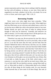earnest expectation and my hope, that in nothing I shall be ashamed, but that with all boldness, as always, so now also Christ shall be magnified in my body, whether it be by life, or by death. For to me to live is Christ, and to die is gain." Phil. 1:20, 21.

### **Borrowing Trouble**

Never worry over what might have been yesterday. "What might have been can be of no benefit to you today. What might have been has filled many an eye with tears and robbed many a soul of its joy but has never added one cubit to the spiritual stature of any man. Neither should you spoil your hope of today by taking anxious thought of what may be tomorrow. Yesterday and tomorrow are alike in eternity. Live for today and get from it all the good you can, for when today is gone you can never live it again.

"Therefore I say unto you, Be not anxious for your life, what ye shall eat, or what ye shall drink; nor yet for your body, what ye shall put on. Is not the life more than the food, and the body than the raiment? Behold the birds of the heaven, that they sow not, neither do they reap, nor gather into barns; and your heavenly Father feedeth them. Are not ye of much more value than they? And which of you by being anxious can add one cubit unto his stature? And why are ye anxious concerning raiment? Consider the lilies of the field, how they grow; they toil not, neither do they spin: yet I say unto you, that even Solomon in all his glory was not arrayed like one of these. But if God doth so clothe the grass of the field, which today is and tomorrow is cast into the oven, shall he not much more clothe you, O ye of little faith? Be not therefore anxious, saying What shall we eat? or, What shall we drink? or, Wherewithal shall we be clothed? For after all these things do the Gentiles seek; for your heavenly Father knoweth that ye have need of all these things. But seek ye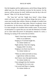first the kingdom and his righteousness; and all these things shall be added unto you. Be not therefore anxious for the morrow: for the morrow will be anxious for itself. Sufficient unto the day is the evil thereof." Matt. 6:25-34, *Revised Version*.

The "may bes" and the "might have beens"—those things which will never come to pass and those things that never were cause more trouble than realities. Retain no thought of trouble from yesterday that will dim your hope today. Borrow no gloomy vision for tomorrow, for the morrow will have trouble enough of its own. It is time enough to be troubled when trouble comes. If your power of anticipation is so great that you can taste the bitterness of trouble yet to come make that power of anticipation, instead of a curse, a blessing, by tasting of the sweets that are before.

> "Hark! I hear hope sweetly singing Softly in an undertone, Singing as if God had taught her, 'It is better farther on.' Night and day I hear her singing, Singing while I sit alone, Singing so my heart may hear it, 'It is better farther on.' "When my faith took hold on Jesus, Light divine within me shone, And I know since that glad moment, 'It is better farther on.' I have plunged into the fountain, Flowing free for every one; I am saved and Hope is singing, 'It is better farther on.'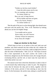"Farther on, but how much farther? Count the mile-stones one by one; No, no counting, only trusting— 'It is better farther on.' Rest, my soul, in hope forever, All my doubts and fears are gone; Jesus is my Savior, Keeper— 'It is better farther on.' "

"But the path of the just is as the shining light, that shineth more and more unto the perfect day. "Prov. 4:18. Therefore by looking ahead you can but see brighter things.

> "I no trouble and no sorrow Know today, nor will I borrow Gloomy visions for tomorrow; In my Jesus all is bright."

## **Hope an Anchor to the Soul**

"Which hope we have as an anchor of the soul, both sure and steadfast, and which entereth into that within the veil; whither the forerunner is for us entered, even Jesus, made an high priest forever after the order of Melchisedec." Heb. 6:19, 20. "The hope of eternal life is here represented as the soul's anchor: the world is the boisterous, dangerous sea; the Christian course, the voyage; the port, everlasting felicity; and the veil, or inner road, the royal dock in which that anchor was cast."

The natural scene from which this illustration is taken is that of a storm-tossed ship endeavoring to make its port. The dangerous rocks that lie between the ship and its docks, together with the violence of the storm, prevent it from entering at once into the haven. So the forerunner, the anchor-man, taking in a small boat the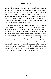anchor with its cable attached, rows into the docks and makes the anchor fast. "Then, swinging at the length of her cable, the ship rides out the storm in confidence, knowing that her anchor is sound, the ground good in which it is fastened, and the cable strong. Though agitated, she is safe; though buffeted by wind and tide, she does not drive. By and by the storm ceases, the tide flows in, her sailors take to the capstan, wear the ship against the anchor, which still keeps its bite, or hold, till she gets safely into port."

In the spiritual application, the soul has been sailing on the wide sea of life and at last is making an attempt to enter the eternal haven. Without the hope of salvation your bark would soon be driven far out on the sea of sin again; but Jesus, our forerunner, the anchorman, has for us entered within the vail, fastened our anchor, to which we are bound by the strong cable of faith firmly and surely to those immortal docks. How necessary, then, that "we should hold fast the confidence and the rejoicing of hope firm unto the end"! Though we be storm-tossed on the billows of trials and temptations, our anchor is sure. A few more days of trial and temptation, and the storms of life will be over; the tide of eternity will flow in and by the cable of faith we shall run in our tempest-tossed vessel and fasten her forever to those everlasting docks in the haven of eternal bliss.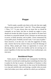# **Prayer**

"And he spake a parable unto them to this end, that men ought always to pray, and not to faint." Luke 18:1. "Pray without ceasing." 1 Thess. 5:17. To pray always does not mean that we should be constantly on our knees, but that we should not neglect to pray, should not forsake the habit of prayer, but should at all times have our hearts in a prayerful attitude. Every Christian can and must pray in secret, in family devotion, and in public. Closet communion fits us for public prayer. Probably you have said, "I can't pray in public." Such, however, is not the case. It is only the suggestion of Satan, only a barrier that he has raised to keep you from the blessings of activity. Many people give Satan an opportunity to accuse and discourage them, by their own timidity and by not moving out in prayer regardless of what men may think. If you would prosper, you must pray.

#### **Bewildered Prayer**

Some prayers are bewildered and consequently bewildering. The mind is worried and wondering about something else than what is spoken by the lips in prayer. An abundance of business is often bewildering to prayer. A good plan to clear away the bewilderment is to stop and carefully take your bearings, consider what you need, what God wishes you to have, and that for which you can believe;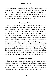then concentrate the heart and mind upon that one thing, send up a prayer of faith in Jesus' name, letting work and business wait till the hour of prayer is past. Someone has called this kind of prayer "smoky prayer." Not only does it hinder the spiritual vision and active faith of the one who is praying, but if the prayer is public it makes a cloud of smoke for others to pray through.

#### **Doubtful Prayer**

Some people are continually praying, are almost slaves to prayer, yet their doubts are as many as their prayers. They doubt even before they go to pray that the thing for which they are about to ask will be granted. It is true that God has said, "If any of you lack wisdom, let him ask of God, that giveth to all men liberally, and upbraideth not, and it shall be given him. But let him ask in faith, nothing wavering. For he that wavereth is like a wave of the sea driven with the wind and tossed. For let not that man think that he shall receive anything of the Lord." Jas. 1:5-7. Many prayers are lavishly punctuated with "if"—the devil's interrogation-point. If you wish your prayer to be beneficial to you and pleasing to God, pray not alone for those things which you would like to have, but also for those things which you believe God will give you. Rebuke the doubts of the devil, break the destructive habit of doubting, discard the devil's punctuation-marks, and "have faith in God."

### **Prevailing Prayer**

In order to derive the benefit from prayer that you should, you must know how to pray an effectual prevailing prayer. It matters little just how you express yourself, whether in a few words or many, whether in a whisper or a shout, whether in the closet or in public, so long as you pray according to the will of God, express the desires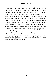of your heart, and prevail in prayer. How much you pray or how often you pray is not so important as how prevailingly you pray. A thousand long prayers unanswered are not as beneficial to the soul as one short, earnest, prevailing prayer. A prevailing prayer is a fervent prayer, a prayer that comes from the burning desire of the confiding and trustful heart. A prevailing prayer is a prayer of faith. It is not what you pray for that does you good, but what you believe for. Prayer without faith is like a man without a soul, or like faith without works: it is dead. If you cannot believe for the thing you most desire in prayer, pray for an increase of faith, use what faith you have, step out on the Word and accompany your prayer with all the faith God has given and you can exercise, then you can prevail in prayer. Nobody can pray too much if all his prayers are prayers of faith, but often those who pray the most believe the least. Remember that the important point in prevailing with God is not prayer alone, but believing prayer.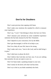# **Don'ts for Doubters**

Don't waste precious time arguing with Satan.

Don't make your emotions the standard by which to measure your experience.

Don't say, "I can't;" that belongs to those who have no Christ.

Don't measure your salvation by some wonderful experience someone else has had; measure by the New Testament.

Don't depend on your conscience; live by the Bible.

Don't get discouraged; it will be of no help to you.

Don't be a baby all your life; learn to be strong.

Don't make rash vows, "trust in the Lord, and he shall bring it to pass."

Don't shed tears to please the devil.

Don't believe that God does not hear you; if you are seeking him earnestly, his ears are open to your cry.

Don't let Satan make a speaking trumpet to your ears.

Don't testify for the devil; tell what God has done.

Don't try to feel as you think somebody else feels.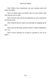Don't follow every impression; use your common sense and follow the Bible.

Don't let Satan make you believe that you have harder trials than anyone else on earth.

Don't look for trials and discouragements; let your expectation be from the Lord.

Don't help the devil to make you miserable by bringing up the past.

Don't pray for blessings and then refuse to endure temptations. Jas. 1:12.

Don't accuse yourself; be as good to yourself as you are to others.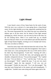# **Light Ahead**

I once heard a story of how Satan hunts for the souls of man. With the story was a picture of a man going down a long dismal street. On his right shoulder sat an imp, apparently speaking into his ear. The street represented life. Just where the man was seemed the darkest spot in all the street, but far ahead of him light seemed springing up, which, however, was not seen by him at the time, for he was looking down. Often if we would look up, we should discover that just where we are is the darkest spot and that ahead the light of hope beams brightly, inviting us on to triumph and victory. The story ran about as follows:

Satan has many imps with which he hunts the souls of man. The most successful one of them he calls Discouragement. Once upon a time Satan saw a man passing down the way of life and he said to his little imp Discouragement, "Catch him." Starting off with a bound, the imp soon overtook the man, and springing upon his shoulder, whispered in his ear, "You are discouraged." "No," replied the man; "I do not think so." "Yes," said the imp; "I tell you, you are discouraged." "Well," replied the man, "I am not very much discouraged." Again the imp repeated, "I tell you, you are discouraged." Finally the man said, "Yes I am discouraged." The imp then went flying back to his master and said triumphantly. "I caught him." Another man came along and Satan again said to the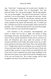imp. "Catch him." Leaping upon the second man's shoulder, he began as before by saying "You are discouraged." This man answered firmly "No: I am not discouraged." But the imp repeated, "Sir, you are discouraged." This time the man answered, "I tell you positively I am not discouraged." But again the imp said, "Surely you are discouraged." On this the man became vehement and said "You are a liar; I am not discouraged." At this the imp left him and slowly returned to his master and reluctantly said, "I couldn't get him. I told him twice that he was discouraged, and he answered me promptly. 'No.' I told him the third time he was surely discouraged. At this he called me a liar and that discouraged me."

Firm resistance to the accusations, discouragements, and attacks of Satan will put him to flight, and instead of being discouraged, downcast, and despondent, we can be victors in the name of Christ, and the instruments of Satan sent to cast down our souls will themselves give away under the pressure of firm resistance and faith in God. Finally, dear reader, let me say, or rather let me remind you, that Jesus said of Satan "He is a liar and the father of it." Though many traps be set along the way to ensnare the feet of men; and many imps be sent out to hunt the souls of those who would do right, no power or imp of Satan can stand before the soul of the least of God's redeemed who resists Satan steadfastly in the faith and trusts firmly in the written Word and the Almighty power of the true and living God. "Be of good courage, and he shall strengthen your heart, all ye that hope in the Lord."